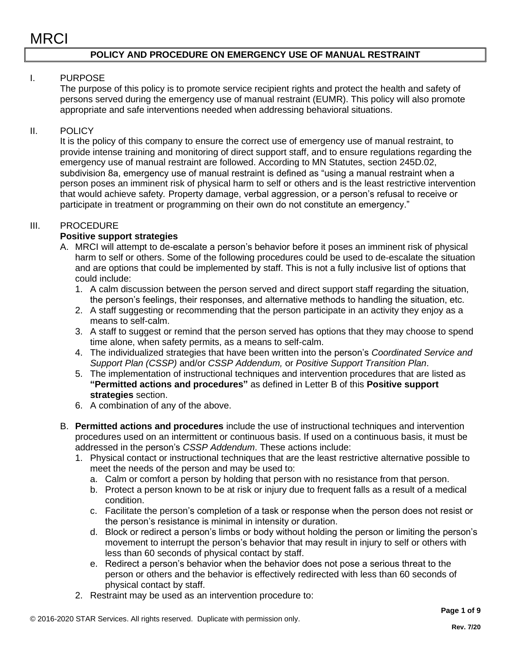#### **POLICY AND PROCEDURE ON EMERGENCY USE OF MANUAL RESTRAINT**

### I. PURPOSE

The purpose of this policy is to promote service recipient rights and protect the health and safety of persons served during the emergency use of manual restraint (EUMR). This policy will also promote appropriate and safe interventions needed when addressing behavioral situations.

#### II. POLICY

It is the policy of this company to ensure the correct use of emergency use of manual restraint, to provide intense training and monitoring of direct support staff, and to ensure regulations regarding the emergency use of manual restraint are followed. According to MN Statutes, section 245D.02, subdivision 8a, emergency use of manual restraint is defined as "using a manual restraint when a person poses an imminent risk of physical harm to self or others and is the least restrictive intervention that would achieve safety*.* Property damage, verbal aggression, or a person's refusal to receive or participate in treatment or programming on their own do not constitute an emergency."

#### III. PROCEDURE

#### **Positive support strategies**

- A. MRCI will attempt to de-escalate a person's behavior before it poses an imminent risk of physical harm to self or others. Some of the following procedures could be used to de-escalate the situation and are options that could be implemented by staff. This is not a fully inclusive list of options that could include:
	- 1. A calm discussion between the person served and direct support staff regarding the situation, the person's feelings, their responses, and alternative methods to handling the situation, etc.
	- 2. A staff suggesting or recommending that the person participate in an activity they enjoy as a means to self-calm.
	- 3. A staff to suggest or remind that the person served has options that they may choose to spend time alone, when safety permits, as a means to self-calm.
	- 4. The individualized strategies that have been written into the person's *Coordinated Service and Support Plan (CSSP)* and/or *CSSP Addendum,* or *Positive Support Transition Plan*.
	- 5. The implementation of instructional techniques and intervention procedures that are listed as **"Permitted actions and procedures"** as defined in Letter B of this **Positive support strategies** section.
	- 6. A combination of any of the above.
- B. **Permitted actions and procedures** include the use of instructional techniques and intervention procedures used on an intermittent or continuous basis. If used on a continuous basis, it must be addressed in the person's *CSSP Addendum*. These actions include:
	- 1. Physical contact or instructional techniques that are the least restrictive alternative possible to meet the needs of the person and may be used to:
		- a. Calm or comfort a person by holding that person with no resistance from that person.
		- b. Protect a person known to be at risk or injury due to frequent falls as a result of a medical condition.
		- c. Facilitate the person's completion of a task or response when the person does not resist or the person's resistance is minimal in intensity or duration.
		- d. Block or redirect a person's limbs or body without holding the person or limiting the person's movement to interrupt the person's behavior that may result in injury to self or others with less than 60 seconds of physical contact by staff.
		- e. Redirect a person's behavior when the behavior does not pose a serious threat to the person or others and the behavior is effectively redirected with less than 60 seconds of physical contact by staff.
	- 2. Restraint may be used as an intervention procedure to: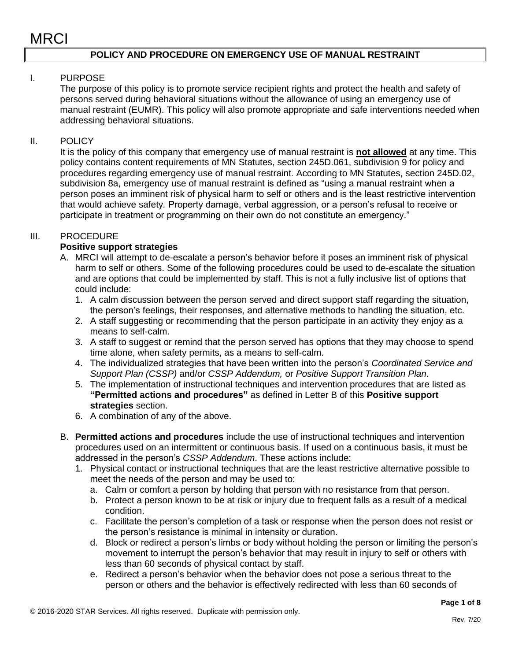#### **POLICY AND PROCEDURE ON EMERGENCY USE OF MANUAL RESTRAINT**

### I. PURPOSE

The purpose of this policy is to promote service recipient rights and protect the health and safety of persons served during behavioral situations without the allowance of using an emergency use of manual restraint (EUMR). This policy will also promote appropriate and safe interventions needed when addressing behavioral situations.

#### II. POLICY

It is the policy of this company that emergency use of manual restraint is **not allowed** at any time. This policy contains content requirements of MN Statutes, section 245D.061, subdivision 9 for policy and procedures regarding emergency use of manual restraint. According to MN Statutes, section 245D.02, subdivision 8a, emergency use of manual restraint is defined as "using a manual restraint when a person poses an imminent risk of physical harm to self or others and is the least restrictive intervention that would achieve safety*.* Property damage, verbal aggression, or a person's refusal to receive or participate in treatment or programming on their own do not constitute an emergency."

#### III. PROCEDURE

#### **Positive support strategies**

- A. MRCI will attempt to de-escalate a person's behavior before it poses an imminent risk of physical harm to self or others. Some of the following procedures could be used to de-escalate the situation and are options that could be implemented by staff. This is not a fully inclusive list of options that could include:
	- 1. A calm discussion between the person served and direct support staff regarding the situation, the person's feelings, their responses, and alternative methods to handling the situation, etc.
	- 2. A staff suggesting or recommending that the person participate in an activity they enjoy as a means to self-calm.
	- 3. A staff to suggest or remind that the person served has options that they may choose to spend time alone, when safety permits, as a means to self-calm.
	- 4. The individualized strategies that have been written into the person's *Coordinated Service and Support Plan (CSSP)* and/or *CSSP Addendum,* or *Positive Support Transition Plan*.
	- 5. The implementation of instructional techniques and intervention procedures that are listed as **"Permitted actions and procedures"** as defined in Letter B of this **Positive support strategies** section.
	- 6. A combination of any of the above.
- B. **Permitted actions and procedures** include the use of instructional techniques and intervention procedures used on an intermittent or continuous basis. If used on a continuous basis, it must be addressed in the person's *CSSP Addendum*. These actions include:
	- 1. Physical contact or instructional techniques that are the least restrictive alternative possible to meet the needs of the person and may be used to:
		- a. Calm or comfort a person by holding that person with no resistance from that person.
		- b. Protect a person known to be at risk or injury due to frequent falls as a result of a medical condition.
		- c. Facilitate the person's completion of a task or response when the person does not resist or the person's resistance is minimal in intensity or duration.
		- d. Block or redirect a person's limbs or body without holding the person or limiting the person's movement to interrupt the person's behavior that may result in injury to self or others with less than 60 seconds of physical contact by staff.
		- e. Redirect a person's behavior when the behavior does not pose a serious threat to the person or others and the behavior is effectively redirected with less than 60 seconds of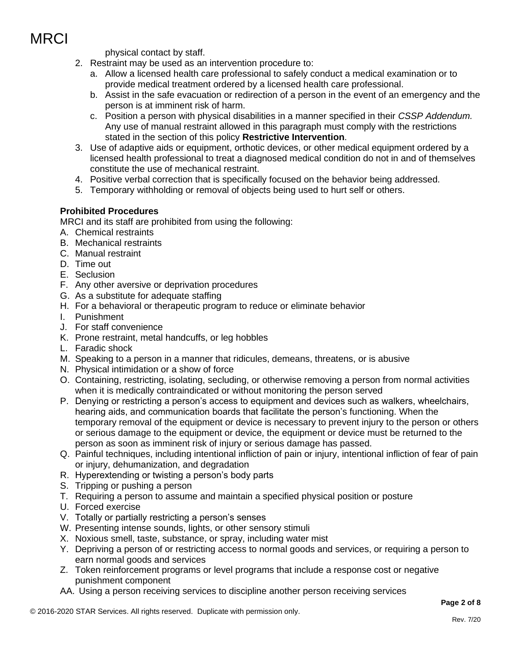physical contact by staff.

- 2. Restraint may be used as an intervention procedure to:
	- a. Allow a licensed health care professional to safely conduct a medical examination or to provide medical treatment ordered by a licensed health care professional.
	- b. Assist in the safe evacuation or redirection of a person in the event of an emergency and the person is at imminent risk of harm.
	- c. Position a person with physical disabilities in a manner specified in their *CSSP Addendum.* Any use of manual restraint allowed in this paragraph must comply with the restrictions stated in the section of this policy **Restrictive Intervention**.
- 3. Use of adaptive aids or equipment, orthotic devices, or other medical equipment ordered by a licensed health professional to treat a diagnosed medical condition do not in and of themselves constitute the use of mechanical restraint.
- 4. Positive verbal correction that is specifically focused on the behavior being addressed.
- 5. Temporary withholding or removal of objects being used to hurt self or others.

### **Prohibited Procedures**

MRCI and its staff are prohibited from using the following:

- A. Chemical restraints
- B. Mechanical restraints
- C. Manual restraint
- D. Time out
- E. Seclusion
- F. Any other aversive or deprivation procedures
- G. As a substitute for adequate staffing
- H. For a behavioral or therapeutic program to reduce or eliminate behavior
- I. Punishment
- J. For staff convenience
- K. Prone restraint, metal handcuffs, or leg hobbles
- L. Faradic shock
- M. Speaking to a person in a manner that ridicules, demeans, threatens, or is abusive
- N. Physical intimidation or a show of force
- O. Containing, restricting, isolating, secluding, or otherwise removing a person from normal activities when it is medically contraindicated or without monitoring the person served
- P. Denying or restricting a person's access to equipment and devices such as walkers, wheelchairs, hearing aids, and communication boards that facilitate the person's functioning. When the temporary removal of the equipment or device is necessary to prevent injury to the person or others or serious damage to the equipment or device, the equipment or device must be returned to the person as soon as imminent risk of injury or serious damage has passed.
- Q. Painful techniques, including intentional infliction of pain or injury, intentional infliction of fear of pain or injury, dehumanization, and degradation
- R. Hyperextending or twisting a person's body parts
- S. Tripping or pushing a person
- T. Requiring a person to assume and maintain a specified physical position or posture
- U. Forced exercise
- V. Totally or partially restricting a person's senses
- W. Presenting intense sounds, lights, or other sensory stimuli
- X. Noxious smell, taste, substance, or spray, including water mist
- Y. Depriving a person of or restricting access to normal goods and services, or requiring a person to earn normal goods and services
- Z. Token reinforcement programs or level programs that include a response cost or negative punishment component
- AA. Using a person receiving services to discipline another person receiving services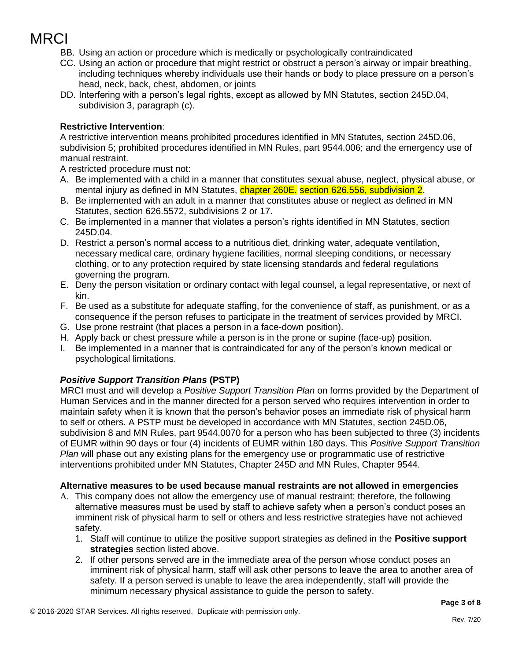- BB. Using an action or procedure which is medically or psychologically contraindicated
- CC. Using an action or procedure that might restrict or obstruct a person's airway or impair breathing, including techniques whereby individuals use their hands or body to place pressure on a person's head, neck, back, chest, abdomen, or joints
- DD. Interfering with a person's legal rights, except as allowed by MN Statutes, section 245D.04, subdivision 3, paragraph (c).

### **Restrictive Intervention**:

A restrictive intervention means prohibited procedures identified in MN Statutes, section 245D.06, subdivision 5; prohibited procedures identified in MN Rules, part 9544.006; and the emergency use of manual restraint.

A restricted procedure must not:

- A. Be implemented with a child in a manner that constitutes sexual abuse, neglect, physical abuse, or mental injury as defined in MN Statutes, chapter 260E. section 626.556, subdivision 2.
- B. Be implemented with an adult in a manner that constitutes abuse or neglect as defined in MN Statutes, section 626.5572, subdivisions 2 or 17.
- C. Be implemented in a manner that violates a person's rights identified in MN Statutes, section 245D.04.
- D. Restrict a person's normal access to a nutritious diet, drinking water, adequate ventilation, necessary medical care, ordinary hygiene facilities, normal sleeping conditions, or necessary clothing, or to any protection required by state licensing standards and federal regulations governing the program.
- E. Deny the person visitation or ordinary contact with legal counsel, a legal representative, or next of kin.
- F. Be used as a substitute for adequate staffing, for the convenience of staff, as punishment, or as a consequence if the person refuses to participate in the treatment of services provided by MRCI.
- G. Use prone restraint (that places a person in a face-down position).
- H. Apply back or chest pressure while a person is in the prone or supine (face-up) position.
- I. Be implemented in a manner that is contraindicated for any of the person's known medical or psychological limitations.

### *Positive Support Transition Plans* **(PSTP)**

MRCI must and will develop a *Positive Support Transition Plan* on forms provided by the Department of Human Services and in the manner directed for a person served who requires intervention in order to maintain safety when it is known that the person's behavior poses an immediate risk of physical harm to self or others. A PSTP must be developed in accordance with MN Statutes, section 245D.06, subdivision 8 and MN Rules, part 9544.0070 for a person who has been subjected to three (3) incidents of EUMR within 90 days or four (4) incidents of EUMR within 180 days. This *Positive Support Transition Plan* will phase out any existing plans for the emergency use or programmatic use of restrictive interventions prohibited under MN Statutes, Chapter 245D and MN Rules, Chapter 9544.

#### **Alternative measures to be used because manual restraints are not allowed in emergencies**

- A. This company does not allow the emergency use of manual restraint; therefore, the following alternative measures must be used by staff to achieve safety when a person's conduct poses an imminent risk of physical harm to self or others and less restrictive strategies have not achieved safety.
	- 1. Staff will continue to utilize the positive support strategies as defined in the **Positive support strategies** section listed above.
	- 2. If other persons served are in the immediate area of the person whose conduct poses an imminent risk of physical harm, staff will ask other persons to leave the area to another area of safety. If a person served is unable to leave the area independently, staff will provide the minimum necessary physical assistance to guide the person to safety.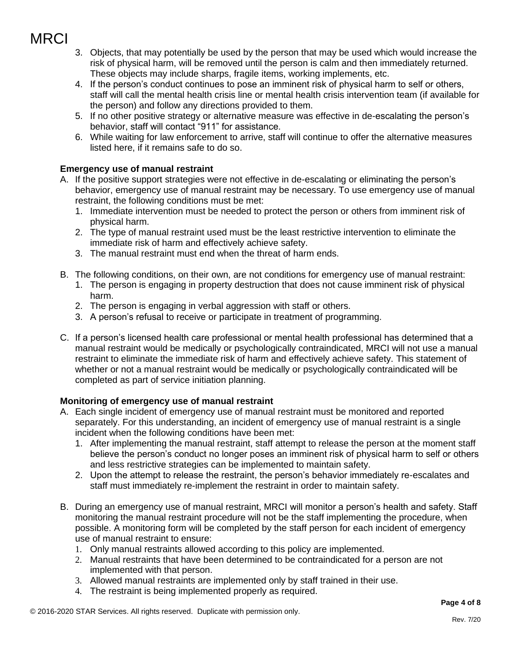- 3. Objects, that may potentially be used by the person that may be used which would increase the risk of physical harm, will be removed until the person is calm and then immediately returned. These objects may include sharps, fragile items, working implements, etc.
- 4. If the person's conduct continues to pose an imminent risk of physical harm to self or others, staff will call the mental health crisis line or mental health crisis intervention team (if available for the person) and follow any directions provided to them.
- 5. If no other positive strategy or alternative measure was effective in de-escalating the person's behavior, staff will contact "911" for assistance.
- 6. While waiting for law enforcement to arrive, staff will continue to offer the alternative measures listed here, if it remains safe to do so.

### **Emergency use of manual restraint**

- A. If the positive support strategies were not effective in de-escalating or eliminating the person's behavior, emergency use of manual restraint may be necessary. To use emergency use of manual restraint, the following conditions must be met:
	- 1. Immediate intervention must be needed to protect the person or others from imminent risk of physical harm.
	- 2. The type of manual restraint used must be the least restrictive intervention to eliminate the immediate risk of harm and effectively achieve safety.
	- 3. The manual restraint must end when the threat of harm ends.
- B. The following conditions, on their own, are not conditions for emergency use of manual restraint:
	- 1. The person is engaging in property destruction that does not cause imminent risk of physical harm.
	- 2. The person is engaging in verbal aggression with staff or others.
	- 3. A person's refusal to receive or participate in treatment of programming.
- C. If a person's licensed health care professional or mental health professional has determined that a manual restraint would be medically or psychologically contraindicated, MRCI will not use a manual restraint to eliminate the immediate risk of harm and effectively achieve safety. This statement of whether or not a manual restraint would be medically or psychologically contraindicated will be completed as part of service initiation planning.

### **Monitoring of emergency use of manual restraint**

- A. Each single incident of emergency use of manual restraint must be monitored and reported separately. For this understanding, an incident of emergency use of manual restraint is a single incident when the following conditions have been met:
	- 1. After implementing the manual restraint, staff attempt to release the person at the moment staff believe the person's conduct no longer poses an imminent risk of physical harm to self or others and less restrictive strategies can be implemented to maintain safety.
	- 2. Upon the attempt to release the restraint, the person's behavior immediately re-escalates and staff must immediately re-implement the restraint in order to maintain safety.
- B. During an emergency use of manual restraint, MRCI will monitor a person's health and safety. Staff monitoring the manual restraint procedure will not be the staff implementing the procedure, when possible. A monitoring form will be completed by the staff person for each incident of emergency use of manual restraint to ensure:
	- 1. Only manual restraints allowed according to this policy are implemented.
	- 2. Manual restraints that have been determined to be contraindicated for a person are not implemented with that person.
	- 3. Allowed manual restraints are implemented only by staff trained in their use.
	- 4. The restraint is being implemented properly as required.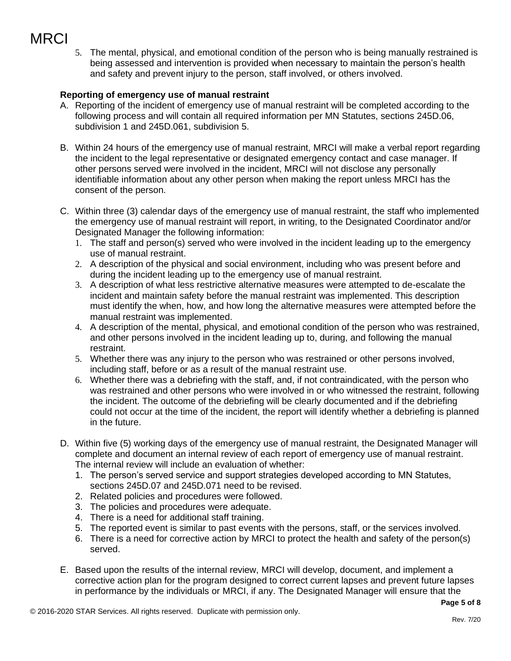5. The mental, physical, and emotional condition of the person who is being manually restrained is being assessed and intervention is provided when necessary to maintain the person's health and safety and prevent injury to the person, staff involved, or others involved.

### **Reporting of emergency use of manual restraint**

- A. Reporting of the incident of emergency use of manual restraint will be completed according to the following process and will contain all required information per MN Statutes, sections 245D.06, subdivision 1 and 245D.061, subdivision 5.
- B. Within 24 hours of the emergency use of manual restraint, MRCI will make a verbal report regarding the incident to the legal representative or designated emergency contact and case manager. If other persons served were involved in the incident, MRCI will not disclose any personally identifiable information about any other person when making the report unless MRCI has the consent of the person.
- C. Within three (3) calendar days of the emergency use of manual restraint, the staff who implemented the emergency use of manual restraint will report, in writing, to the Designated Coordinator and/or Designated Manager the following information:
	- 1. The staff and person(s) served who were involved in the incident leading up to the emergency use of manual restraint.
	- 2. A description of the physical and social environment, including who was present before and during the incident leading up to the emergency use of manual restraint.
	- 3. A description of what less restrictive alternative measures were attempted to de-escalate the incident and maintain safety before the manual restraint was implemented. This description must identify the when, how, and how long the alternative measures were attempted before the manual restraint was implemented.
	- 4. A description of the mental, physical, and emotional condition of the person who was restrained, and other persons involved in the incident leading up to, during, and following the manual restraint.
	- 5. Whether there was any injury to the person who was restrained or other persons involved, including staff, before or as a result of the manual restraint use.
	- 6. Whether there was a debriefing with the staff, and, if not contraindicated, with the person who was restrained and other persons who were involved in or who witnessed the restraint, following the incident. The outcome of the debriefing will be clearly documented and if the debriefing could not occur at the time of the incident, the report will identify whether a debriefing is planned in the future.
- D. Within five (5) working days of the emergency use of manual restraint, the Designated Manager will complete and document an internal review of each report of emergency use of manual restraint. The internal review will include an evaluation of whether:
	- 1. The person's served service and support strategies developed according to MN Statutes, sections 245D.07 and 245D.071 need to be revised.
	- 2. Related policies and procedures were followed.
	- 3. The policies and procedures were adequate.
	- 4. There is a need for additional staff training.
	- 5. The reported event is similar to past events with the persons, staff, or the services involved.
	- 6. There is a need for corrective action by MRCI to protect the health and safety of the person(s) served.
- E. Based upon the results of the internal review, MRCI will develop, document, and implement a corrective action plan for the program designed to correct current lapses and prevent future lapses in performance by the individuals or MRCI, if any. The Designated Manager will ensure that the

**Page 5 of 8**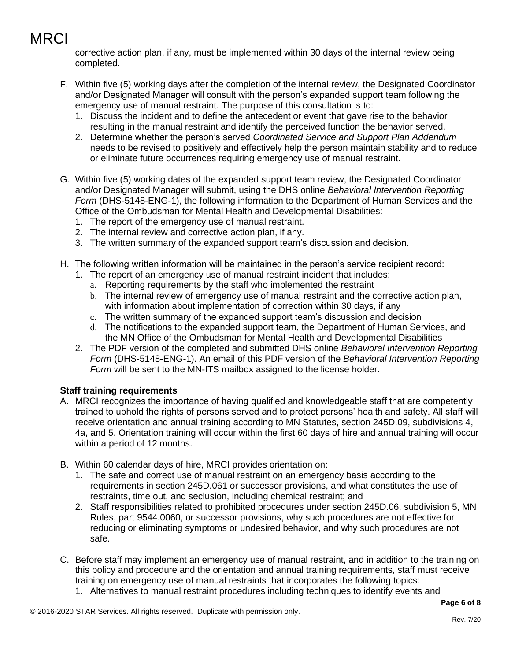corrective action plan, if any, must be implemented within 30 days of the internal review being completed.

- F. Within five (5) working days after the completion of the internal review, the Designated Coordinator and/or Designated Manager will consult with the person's expanded support team following the emergency use of manual restraint. The purpose of this consultation is to:
	- 1. Discuss the incident and to define the antecedent or event that gave rise to the behavior resulting in the manual restraint and identify the perceived function the behavior served.
	- 2. Determine whether the person's served *Coordinated Service and Support Plan Addendum*  needs to be revised to positively and effectively help the person maintain stability and to reduce or eliminate future occurrences requiring emergency use of manual restraint.
- G. Within five (5) working dates of the expanded support team review, the Designated Coordinator and/or Designated Manager will submit, using the DHS online *Behavioral Intervention Reporting Form* (DHS-5148-ENG-1), the following information to the Department of Human Services and the Office of the Ombudsman for Mental Health and Developmental Disabilities:
	- 1. The report of the emergency use of manual restraint.
	- 2. The internal review and corrective action plan, if any.
	- 3. The written summary of the expanded support team's discussion and decision.
- H. The following written information will be maintained in the person's service recipient record:
	- 1. The report of an emergency use of manual restraint incident that includes:
		- a. Reporting requirements by the staff who implemented the restraint
		- b. The internal review of emergency use of manual restraint and the corrective action plan, with information about implementation of correction within 30 days, if any
		- c. The written summary of the expanded support team's discussion and decision
		- d. The notifications to the expanded support team, the Department of Human Services, and the MN Office of the Ombudsman for Mental Health and Developmental Disabilities
	- 2. The PDF version of the completed and submitted DHS online *Behavioral Intervention Reporting Form* (DHS-5148-ENG-1). An email of this PDF version of the *Behavioral Intervention Reporting Form* will be sent to the MN-ITS mailbox assigned to the license holder.

### **Staff training requirements**

- A. MRCI recognizes the importance of having qualified and knowledgeable staff that are competently trained to uphold the rights of persons served and to protect persons' health and safety. All staff will receive orientation and annual training according to MN Statutes, section 245D.09, subdivisions 4, 4a, and 5. Orientation training will occur within the first 60 days of hire and annual training will occur within a period of 12 months.
- B. Within 60 calendar days of hire, MRCI provides orientation on:
	- 1. The safe and correct use of manual restraint on an emergency basis according to the requirements in section 245D.061 or successor provisions, and what constitutes the use of restraints, time out, and seclusion, including chemical restraint; and
	- 2. Staff responsibilities related to prohibited procedures under section 245D.06, subdivision 5, MN Rules, part 9544.0060, or successor provisions, why such procedures are not effective for reducing or eliminating symptoms or undesired behavior, and why such procedures are not safe.
- C. Before staff may implement an emergency use of manual restraint, and in addition to the training on this policy and procedure and the orientation and annual training requirements, staff must receive training on emergency use of manual restraints that incorporates the following topics:
	- 1. Alternatives to manual restraint procedures including techniques to identify events and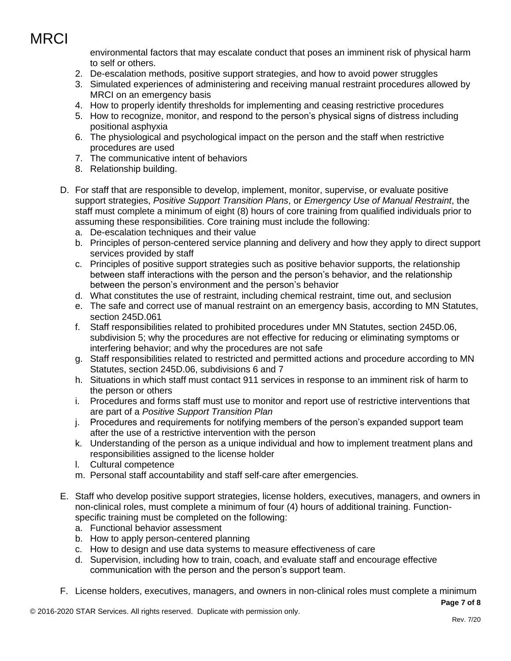environmental factors that may escalate conduct that poses an imminent risk of physical harm to self or others.

- 2. De-escalation methods, positive support strategies, and how to avoid power struggles
- 3. Simulated experiences of administering and receiving manual restraint procedures allowed by MRCI on an emergency basis
- 4. How to properly identify thresholds for implementing and ceasing restrictive procedures
- 5. How to recognize, monitor, and respond to the person's physical signs of distress including positional asphyxia
- 6. The physiological and psychological impact on the person and the staff when restrictive procedures are used
- 7. The communicative intent of behaviors
- 8. Relationship building.
- D. For staff that are responsible to develop, implement, monitor, supervise, or evaluate positive support strategies, *Positive Support Transition Plans*, or *Emergency Use of Manual Restraint*, the staff must complete a minimum of eight (8) hours of core training from qualified individuals prior to assuming these responsibilities. Core training must include the following:
	- a. De-escalation techniques and their value
	- b. Principles of person-centered service planning and delivery and how they apply to direct support services provided by staff
	- c. Principles of positive support strategies such as positive behavior supports, the relationship between staff interactions with the person and the person's behavior, and the relationship between the person's environment and the person's behavior
	- d. What constitutes the use of restraint, including chemical restraint, time out, and seclusion
	- e. The safe and correct use of manual restraint on an emergency basis, according to MN Statutes, section 245D.061
	- f. Staff responsibilities related to prohibited procedures under MN Statutes, section 245D.06, subdivision 5; why the procedures are not effective for reducing or eliminating symptoms or interfering behavior; and why the procedures are not safe
	- g. Staff responsibilities related to restricted and permitted actions and procedure according to MN Statutes, section 245D.06, subdivisions 6 and 7
	- h. Situations in which staff must contact 911 services in response to an imminent risk of harm to the person or others
	- i. Procedures and forms staff must use to monitor and report use of restrictive interventions that are part of a *Positive Support Transition Plan*
	- j. Procedures and requirements for notifying members of the person's expanded support team after the use of a restrictive intervention with the person
	- k. Understanding of the person as a unique individual and how to implement treatment plans and responsibilities assigned to the license holder
	- l. Cultural competence
	- m. Personal staff accountability and staff self-care after emergencies.
- E. Staff who develop positive support strategies, license holders, executives, managers, and owners in non-clinical roles, must complete a minimum of four (4) hours of additional training. Functionspecific training must be completed on the following:
	- a. Functional behavior assessment
	- b. How to apply person-centered planning
	- c. How to design and use data systems to measure effectiveness of care
	- d. Supervision, including how to train, coach, and evaluate staff and encourage effective communication with the person and the person's support team.
- F. License holders, executives, managers, and owners in non-clinical roles must complete a minimum

**Page 7 of 8**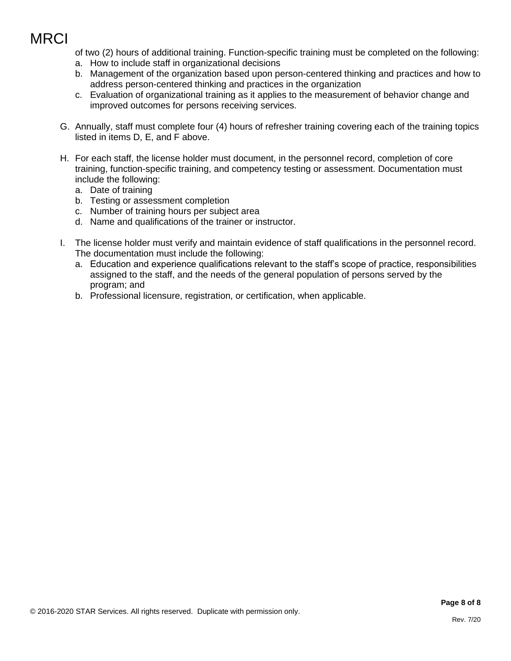of two (2) hours of additional training. Function-specific training must be completed on the following:

- a. How to include staff in organizational decisions
- b. Management of the organization based upon person-centered thinking and practices and how to address person-centered thinking and practices in the organization
- c. Evaluation of organizational training as it applies to the measurement of behavior change and improved outcomes for persons receiving services.
- G. Annually, staff must complete four (4) hours of refresher training covering each of the training topics listed in items D, E, and F above.
- H. For each staff, the license holder must document, in the personnel record, completion of core training, function-specific training, and competency testing or assessment. Documentation must include the following:
	- a. Date of training
	- b. Testing or assessment completion
	- c. Number of training hours per subject area
	- d. Name and qualifications of the trainer or instructor.
- I. The license holder must verify and maintain evidence of staff qualifications in the personnel record. The documentation must include the following:
	- a. Education and experience qualifications relevant to the staff's scope of practice, responsibilities assigned to the staff, and the needs of the general population of persons served by the program; and
	- b. Professional licensure, registration, or certification, when applicable.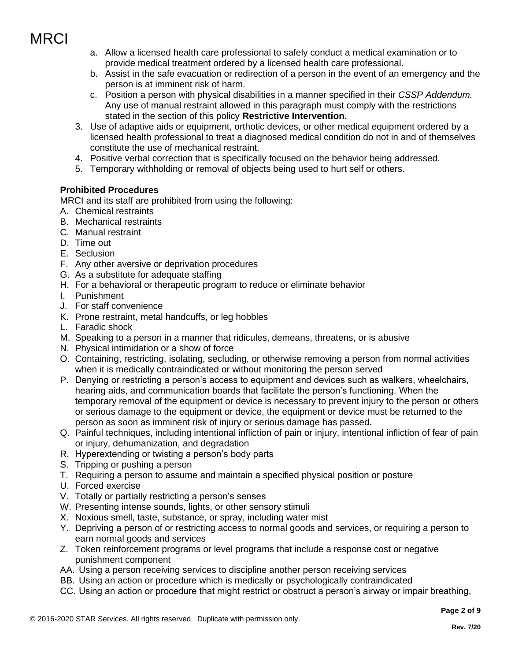- a. Allow a licensed health care professional to safely conduct a medical examination or to provide medical treatment ordered by a licensed health care professional.
- b. Assist in the safe evacuation or redirection of a person in the event of an emergency and the person is at imminent risk of harm.
- c. Position a person with physical disabilities in a manner specified in their *CSSP Addendum.* Any use of manual restraint allowed in this paragraph must comply with the restrictions stated in the section of this policy **Restrictive Intervention.**
- 3. Use of adaptive aids or equipment, orthotic devices, or other medical equipment ordered by a licensed health professional to treat a diagnosed medical condition do not in and of themselves constitute the use of mechanical restraint.
- 4. Positive verbal correction that is specifically focused on the behavior being addressed.
- 5. Temporary withholding or removal of objects being used to hurt self or others.

### **Prohibited Procedures**

MRCI and its staff are prohibited from using the following:

- A. Chemical restraints
- B. Mechanical restraints
- C. Manual restraint
- D. Time out
- E. Seclusion
- F. Any other aversive or deprivation procedures
- G. As a substitute for adequate staffing
- H. For a behavioral or therapeutic program to reduce or eliminate behavior
- I. Punishment
- J. For staff convenience
- K. Prone restraint, metal handcuffs, or leg hobbles
- L. Faradic shock
- M. Speaking to a person in a manner that ridicules, demeans, threatens, or is abusive
- N. Physical intimidation or a show of force
- O. Containing, restricting, isolating, secluding, or otherwise removing a person from normal activities when it is medically contraindicated or without monitoring the person served
- P. Denying or restricting a person's access to equipment and devices such as walkers, wheelchairs, hearing aids, and communication boards that facilitate the person's functioning. When the temporary removal of the equipment or device is necessary to prevent injury to the person or others or serious damage to the equipment or device, the equipment or device must be returned to the person as soon as imminent risk of injury or serious damage has passed.
- Q. Painful techniques, including intentional infliction of pain or injury, intentional infliction of fear of pain or injury, dehumanization, and degradation
- R. Hyperextending or twisting a person's body parts
- S. Tripping or pushing a person
- T. Requiring a person to assume and maintain a specified physical position or posture
- U. Forced exercise
- V. Totally or partially restricting a person's senses
- W. Presenting intense sounds, lights, or other sensory stimuli
- X. Noxious smell, taste, substance, or spray, including water mist
- Y. Depriving a person of or restricting access to normal goods and services, or requiring a person to earn normal goods and services
- Z. Token reinforcement programs or level programs that include a response cost or negative punishment component
- AA. Using a person receiving services to discipline another person receiving services
- BB. Using an action or procedure which is medically or psychologically contraindicated
- CC. Using an action or procedure that might restrict or obstruct a person's airway or impair breathing,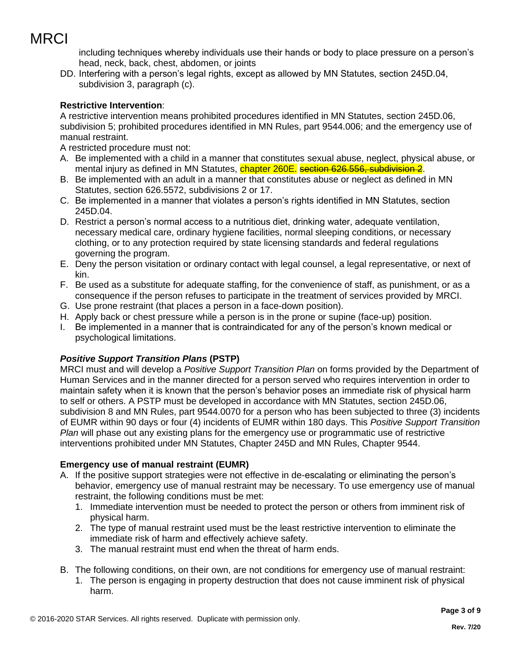including techniques whereby individuals use their hands or body to place pressure on a person's head, neck, back, chest, abdomen, or joints

DD. Interfering with a person's legal rights, except as allowed by MN Statutes, section 245D.04, subdivision 3, paragraph (c).

### **Restrictive Intervention**:

A restrictive intervention means prohibited procedures identified in MN Statutes, section 245D.06, subdivision 5; prohibited procedures identified in MN Rules, part 9544.006; and the emergency use of manual restraint.

A restricted procedure must not:

- A. Be implemented with a child in a manner that constitutes sexual abuse, neglect, physical abuse, or mental injury as defined in MN Statutes, chapter 260E. section 626.556, subdivision 2.
- B. Be implemented with an adult in a manner that constitutes abuse or neglect as defined in MN Statutes, section 626.5572, subdivisions 2 or 17.
- C. Be implemented in a manner that violates a person's rights identified in MN Statutes, section 245D.04.
- D. Restrict a person's normal access to a nutritious diet, drinking water, adequate ventilation, necessary medical care, ordinary hygiene facilities, normal sleeping conditions, or necessary clothing, or to any protection required by state licensing standards and federal regulations governing the program.
- E. Deny the person visitation or ordinary contact with legal counsel, a legal representative, or next of kin.
- F. Be used as a substitute for adequate staffing, for the convenience of staff, as punishment, or as a consequence if the person refuses to participate in the treatment of services provided by MRCI.
- G. Use prone restraint (that places a person in a face-down position).
- H. Apply back or chest pressure while a person is in the prone or supine (face-up) position.
- I. Be implemented in a manner that is contraindicated for any of the person's known medical or psychological limitations.

### *Positive Support Transition Plans* **(PSTP)**

MRCI must and will develop a *Positive Support Transition Plan* on forms provided by the Department of Human Services and in the manner directed for a person served who requires intervention in order to maintain safety when it is known that the person's behavior poses an immediate risk of physical harm to self or others. A PSTP must be developed in accordance with MN Statutes, section 245D.06, subdivision 8 and MN Rules, part 9544.0070 for a person who has been subjected to three (3) incidents of EUMR within 90 days or four (4) incidents of EUMR within 180 days. This *Positive Support Transition Plan* will phase out any existing plans for the emergency use or programmatic use of restrictive interventions prohibited under MN Statutes, Chapter 245D and MN Rules, Chapter 9544.

### **Emergency use of manual restraint (EUMR)**

- A. If the positive support strategies were not effective in de-escalating or eliminating the person's behavior, emergency use of manual restraint may be necessary. To use emergency use of manual restraint, the following conditions must be met:
	- 1. Immediate intervention must be needed to protect the person or others from imminent risk of physical harm.
	- 2. The type of manual restraint used must be the least restrictive intervention to eliminate the immediate risk of harm and effectively achieve safety.
	- 3. The manual restraint must end when the threat of harm ends.
- B. The following conditions, on their own, are not conditions for emergency use of manual restraint:
	- 1. The person is engaging in property destruction that does not cause imminent risk of physical harm.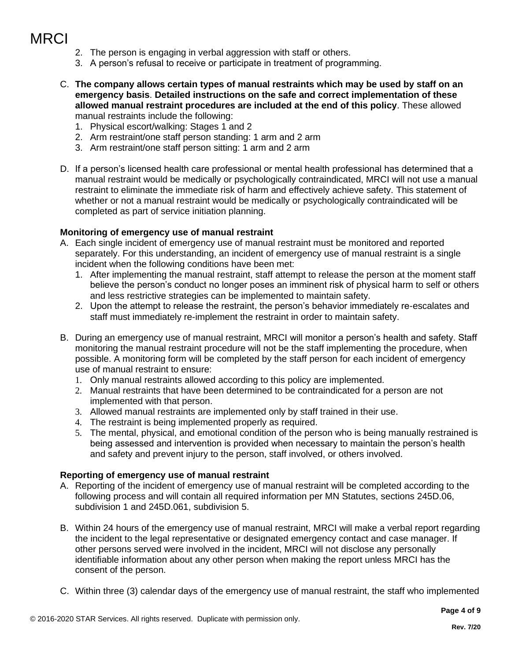- 2. The person is engaging in verbal aggression with staff or others.
- 3. A person's refusal to receive or participate in treatment of programming.
- C. **The company allows certain types of manual restraints which may be used by staff on an emergency basis**. **Detailed instructions on the safe and correct implementation of these allowed manual restraint procedures are included at the end of this policy**. These allowed manual restraints include the following:
	- 1. Physical escort/walking: Stages 1 and 2
	- 2. Arm restraint/one staff person standing: 1 arm and 2 arm
	- 3. Arm restraint/one staff person sitting: 1 arm and 2 arm
- D. If a person's licensed health care professional or mental health professional has determined that a manual restraint would be medically or psychologically contraindicated, MRCI will not use a manual restraint to eliminate the immediate risk of harm and effectively achieve safety. This statement of whether or not a manual restraint would be medically or psychologically contraindicated will be completed as part of service initiation planning.

#### **Monitoring of emergency use of manual restraint**

- A. Each single incident of emergency use of manual restraint must be monitored and reported separately. For this understanding, an incident of emergency use of manual restraint is a single incident when the following conditions have been met:
	- 1. After implementing the manual restraint, staff attempt to release the person at the moment staff believe the person's conduct no longer poses an imminent risk of physical harm to self or others and less restrictive strategies can be implemented to maintain safety.
	- 2. Upon the attempt to release the restraint, the person's behavior immediately re-escalates and staff must immediately re-implement the restraint in order to maintain safety.
- B. During an emergency use of manual restraint, MRCI will monitor a person's health and safety. Staff monitoring the manual restraint procedure will not be the staff implementing the procedure, when possible. A monitoring form will be completed by the staff person for each incident of emergency use of manual restraint to ensure:
	- 1. Only manual restraints allowed according to this policy are implemented.
	- 2. Manual restraints that have been determined to be contraindicated for a person are not implemented with that person.
	- 3. Allowed manual restraints are implemented only by staff trained in their use.
	- 4. The restraint is being implemented properly as required.
	- 5. The mental, physical, and emotional condition of the person who is being manually restrained is being assessed and intervention is provided when necessary to maintain the person's health and safety and prevent injury to the person, staff involved, or others involved.

#### **Reporting of emergency use of manual restraint**

- A. Reporting of the incident of emergency use of manual restraint will be completed according to the following process and will contain all required information per MN Statutes, sections 245D.06, subdivision 1 and 245D.061, subdivision 5.
- B. Within 24 hours of the emergency use of manual restraint, MRCI will make a verbal report regarding the incident to the legal representative or designated emergency contact and case manager. If other persons served were involved in the incident, MRCI will not disclose any personally identifiable information about any other person when making the report unless MRCI has the consent of the person.
- C. Within three (3) calendar days of the emergency use of manual restraint, the staff who implemented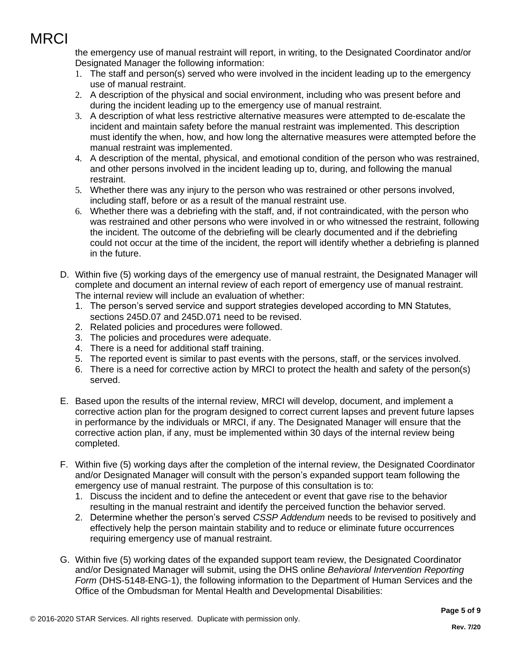the emergency use of manual restraint will report, in writing, to the Designated Coordinator and/or Designated Manager the following information:

- 1. The staff and person(s) served who were involved in the incident leading up to the emergency use of manual restraint.
- 2. A description of the physical and social environment, including who was present before and during the incident leading up to the emergency use of manual restraint.
- 3. A description of what less restrictive alternative measures were attempted to de-escalate the incident and maintain safety before the manual restraint was implemented. This description must identify the when, how, and how long the alternative measures were attempted before the manual restraint was implemented.
- 4. A description of the mental, physical, and emotional condition of the person who was restrained, and other persons involved in the incident leading up to, during, and following the manual restraint.
- 5. Whether there was any injury to the person who was restrained or other persons involved, including staff, before or as a result of the manual restraint use.
- 6. Whether there was a debriefing with the staff, and, if not contraindicated, with the person who was restrained and other persons who were involved in or who witnessed the restraint, following the incident. The outcome of the debriefing will be clearly documented and if the debriefing could not occur at the time of the incident, the report will identify whether a debriefing is planned in the future.
- D. Within five (5) working days of the emergency use of manual restraint, the Designated Manager will complete and document an internal review of each report of emergency use of manual restraint. The internal review will include an evaluation of whether:
	- 1. The person's served service and support strategies developed according to MN Statutes, sections 245D.07 and 245D.071 need to be revised.
	- 2. Related policies and procedures were followed.
	- 3. The policies and procedures were adequate.
	- 4. There is a need for additional staff training.
	- 5. The reported event is similar to past events with the persons, staff, or the services involved.
	- 6. There is a need for corrective action by MRCI to protect the health and safety of the person(s) served.
- E. Based upon the results of the internal review, MRCI will develop, document, and implement a corrective action plan for the program designed to correct current lapses and prevent future lapses in performance by the individuals or MRCI, if any. The Designated Manager will ensure that the corrective action plan, if any, must be implemented within 30 days of the internal review being completed.
- F. Within five (5) working days after the completion of the internal review, the Designated Coordinator and/or Designated Manager will consult with the person's expanded support team following the emergency use of manual restraint. The purpose of this consultation is to:
	- 1. Discuss the incident and to define the antecedent or event that gave rise to the behavior resulting in the manual restraint and identify the perceived function the behavior served.
	- 2. Determine whether the person's served *CSSP Addendum* needs to be revised to positively and effectively help the person maintain stability and to reduce or eliminate future occurrences requiring emergency use of manual restraint.
- G. Within five (5) working dates of the expanded support team review, the Designated Coordinator and/or Designated Manager will submit, using the DHS online *Behavioral Intervention Reporting Form* (DHS-5148-ENG-1), the following information to the Department of Human Services and the Office of the Ombudsman for Mental Health and Developmental Disabilities: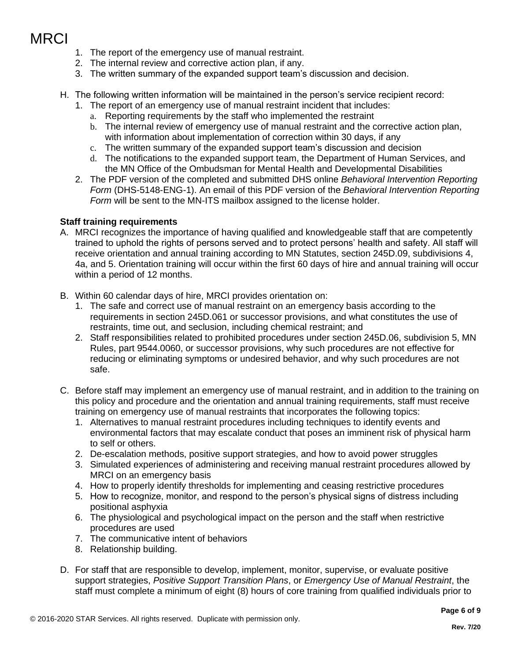- 1. The report of the emergency use of manual restraint.
- 2. The internal review and corrective action plan, if any.
- 3. The written summary of the expanded support team's discussion and decision.

### H. The following written information will be maintained in the person's service recipient record:

- 1. The report of an emergency use of manual restraint incident that includes:
	- a. Reporting requirements by the staff who implemented the restraint
	- b. The internal review of emergency use of manual restraint and the corrective action plan, with information about implementation of correction within 30 days, if any
	- c. The written summary of the expanded support team's discussion and decision
	- d. The notifications to the expanded support team, the Department of Human Services, and the MN Office of the Ombudsman for Mental Health and Developmental Disabilities
- 2. The PDF version of the completed and submitted DHS online *Behavioral Intervention Reporting Form* (DHS-5148-ENG-1). An email of this PDF version of the *Behavioral Intervention Reporting Form* will be sent to the MN-ITS mailbox assigned to the license holder.

#### **Staff training requirements**

- A. MRCI recognizes the importance of having qualified and knowledgeable staff that are competently trained to uphold the rights of persons served and to protect persons' health and safety. All staff will receive orientation and annual training according to MN Statutes, section 245D.09, subdivisions 4, 4a, and 5. Orientation training will occur within the first 60 days of hire and annual training will occur within a period of 12 months.
- B. Within 60 calendar days of hire, MRCI provides orientation on:
	- 1. The safe and correct use of manual restraint on an emergency basis according to the requirements in section 245D.061 or successor provisions, and what constitutes the use of restraints, time out, and seclusion, including chemical restraint; and
	- 2. Staff responsibilities related to prohibited procedures under section 245D.06, subdivision 5, MN Rules, part 9544.0060, or successor provisions, why such procedures are not effective for reducing or eliminating symptoms or undesired behavior, and why such procedures are not safe.
- C. Before staff may implement an emergency use of manual restraint, and in addition to the training on this policy and procedure and the orientation and annual training requirements, staff must receive training on emergency use of manual restraints that incorporates the following topics:
	- 1. Alternatives to manual restraint procedures including techniques to identify events and environmental factors that may escalate conduct that poses an imminent risk of physical harm to self or others.
	- 2. De-escalation methods, positive support strategies, and how to avoid power struggles
	- 3. Simulated experiences of administering and receiving manual restraint procedures allowed by MRCI on an emergency basis
	- 4. How to properly identify thresholds for implementing and ceasing restrictive procedures
	- 5. How to recognize, monitor, and respond to the person's physical signs of distress including positional asphyxia
	- 6. The physiological and psychological impact on the person and the staff when restrictive procedures are used
	- 7. The communicative intent of behaviors
	- 8. Relationship building.
- D. For staff that are responsible to develop, implement, monitor, supervise, or evaluate positive support strategies, *Positive Support Transition Plans*, or *Emergency Use of Manual Restraint*, the staff must complete a minimum of eight (8) hours of core training from qualified individuals prior to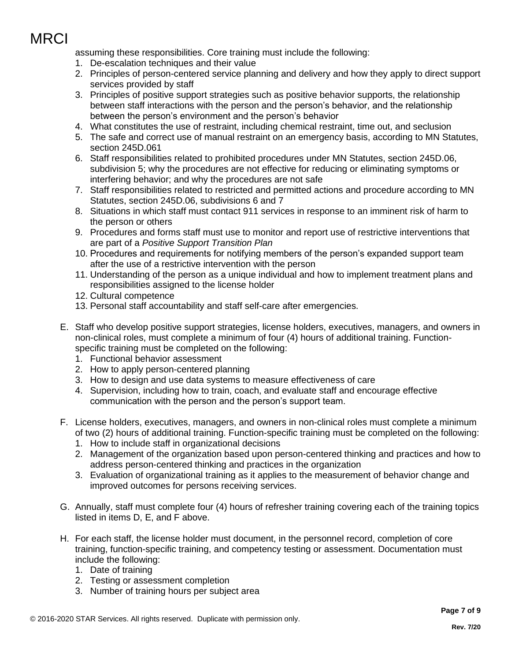assuming these responsibilities. Core training must include the following:

- 1. De-escalation techniques and their value
- 2. Principles of person-centered service planning and delivery and how they apply to direct support services provided by staff
- 3. Principles of positive support strategies such as positive behavior supports, the relationship between staff interactions with the person and the person's behavior, and the relationship between the person's environment and the person's behavior
- 4. What constitutes the use of restraint, including chemical restraint, time out, and seclusion
- 5. The safe and correct use of manual restraint on an emergency basis, according to MN Statutes, section 245D.061
- 6. Staff responsibilities related to prohibited procedures under MN Statutes, section 245D.06, subdivision 5; why the procedures are not effective for reducing or eliminating symptoms or interfering behavior; and why the procedures are not safe
- 7. Staff responsibilities related to restricted and permitted actions and procedure according to MN Statutes, section 245D.06, subdivisions 6 and 7
- 8. Situations in which staff must contact 911 services in response to an imminent risk of harm to the person or others
- 9. Procedures and forms staff must use to monitor and report use of restrictive interventions that are part of a *Positive Support Transition Plan*
- 10. Procedures and requirements for notifying members of the person's expanded support team after the use of a restrictive intervention with the person
- 11. Understanding of the person as a unique individual and how to implement treatment plans and responsibilities assigned to the license holder
- 12. Cultural competence
- 13. Personal staff accountability and staff self-care after emergencies.
- E. Staff who develop positive support strategies, license holders, executives, managers, and owners in non-clinical roles, must complete a minimum of four (4) hours of additional training. Functionspecific training must be completed on the following:
	- 1. Functional behavior assessment
	- 2. How to apply person-centered planning
	- 3. How to design and use data systems to measure effectiveness of care
	- 4. Supervision, including how to train, coach, and evaluate staff and encourage effective communication with the person and the person's support team.
- F. License holders, executives, managers, and owners in non-clinical roles must complete a minimum of two (2) hours of additional training. Function-specific training must be completed on the following:
	- 1. How to include staff in organizational decisions
	- 2. Management of the organization based upon person-centered thinking and practices and how to address person-centered thinking and practices in the organization
	- 3. Evaluation of organizational training as it applies to the measurement of behavior change and improved outcomes for persons receiving services.
- G. Annually, staff must complete four (4) hours of refresher training covering each of the training topics listed in items D, E, and F above.
- H. For each staff, the license holder must document, in the personnel record, completion of core training, function-specific training, and competency testing or assessment. Documentation must include the following:
	- 1. Date of training
	- 2. Testing or assessment completion
	- 3. Number of training hours per subject area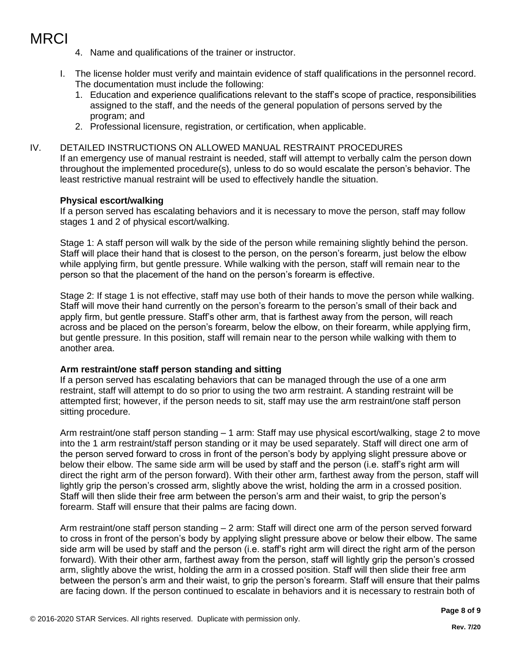- 4. Name and qualifications of the trainer or instructor.
- I. The license holder must verify and maintain evidence of staff qualifications in the personnel record. The documentation must include the following:
	- 1. Education and experience qualifications relevant to the staff's scope of practice, responsibilities assigned to the staff, and the needs of the general population of persons served by the program; and
	- 2. Professional licensure, registration, or certification, when applicable.

#### IV. DETAILED INSTRUCTIONS ON ALLOWED MANUAL RESTRAINT PROCEDURES

If an emergency use of manual restraint is needed, staff will attempt to verbally calm the person down throughout the implemented procedure(s), unless to do so would escalate the person's behavior. The least restrictive manual restraint will be used to effectively handle the situation.

#### **Physical escort/walking**

If a person served has escalating behaviors and it is necessary to move the person, staff may follow stages 1 and 2 of physical escort/walking.

Stage 1: A staff person will walk by the side of the person while remaining slightly behind the person. Staff will place their hand that is closest to the person, on the person's forearm, just below the elbow while applying firm, but gentle pressure. While walking with the person, staff will remain near to the person so that the placement of the hand on the person's forearm is effective.

Stage 2: If stage 1 is not effective, staff may use both of their hands to move the person while walking. Staff will move their hand currently on the person's forearm to the person's small of their back and apply firm, but gentle pressure. Staff's other arm, that is farthest away from the person, will reach across and be placed on the person's forearm, below the elbow, on their forearm, while applying firm, but gentle pressure. In this position, staff will remain near to the person while walking with them to another area.

#### **Arm restraint/one staff person standing and sitting**

If a person served has escalating behaviors that can be managed through the use of a one arm restraint, staff will attempt to do so prior to using the two arm restraint. A standing restraint will be attempted first; however, if the person needs to sit, staff may use the arm restraint/one staff person sitting procedure.

Arm restraint/one staff person standing – 1 arm: Staff may use physical escort/walking, stage 2 to move into the 1 arm restraint/staff person standing or it may be used separately. Staff will direct one arm of the person served forward to cross in front of the person's body by applying slight pressure above or below their elbow. The same side arm will be used by staff and the person (i.e. staff's right arm will direct the right arm of the person forward). With their other arm, farthest away from the person, staff will lightly grip the person's crossed arm, slightly above the wrist, holding the arm in a crossed position. Staff will then slide their free arm between the person's arm and their waist, to grip the person's forearm. Staff will ensure that their palms are facing down.

Arm restraint/one staff person standing – 2 arm: Staff will direct one arm of the person served forward to cross in front of the person's body by applying slight pressure above or below their elbow. The same side arm will be used by staff and the person (i.e. staff's right arm will direct the right arm of the person forward). With their other arm, farthest away from the person, staff will lightly grip the person's crossed arm, slightly above the wrist, holding the arm in a crossed position. Staff will then slide their free arm between the person's arm and their waist, to grip the person's forearm. Staff will ensure that their palms are facing down. If the person continued to escalate in behaviors and it is necessary to restrain both of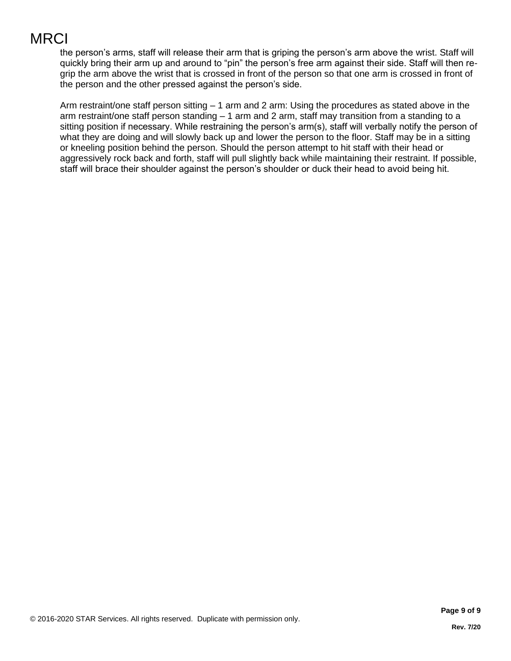the person's arms, staff will release their arm that is griping the person's arm above the wrist. Staff will quickly bring their arm up and around to "pin" the person's free arm against their side. Staff will then regrip the arm above the wrist that is crossed in front of the person so that one arm is crossed in front of the person and the other pressed against the person's side.

Arm restraint/one staff person sitting – 1 arm and 2 arm: Using the procedures as stated above in the arm restraint/one staff person standing – 1 arm and 2 arm, staff may transition from a standing to a sitting position if necessary. While restraining the person's arm(s), staff will verbally notify the person of what they are doing and will slowly back up and lower the person to the floor. Staff may be in a sitting or kneeling position behind the person. Should the person attempt to hit staff with their head or aggressively rock back and forth, staff will pull slightly back while maintaining their restraint. If possible, staff will brace their shoulder against the person's shoulder or duck their head to avoid being hit.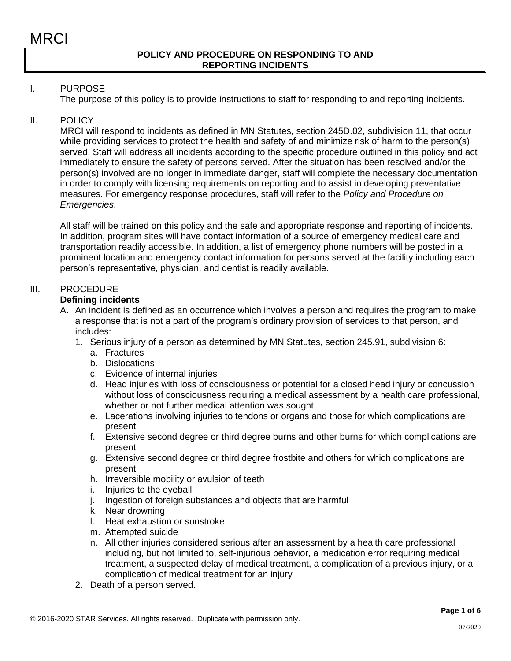#### **POLICY AND PROCEDURE ON RESPONDING TO AND REPORTING INCIDENTS**

### I. PURPOSE

The purpose of this policy is to provide instructions to staff for responding to and reporting incidents.

#### II. POLICY

MRCI will respond to incidents as defined in MN Statutes, section 245D.02, subdivision 11, that occur while providing services to protect the health and safety of and minimize risk of harm to the person(s) served. Staff will address all incidents according to the specific procedure outlined in this policy and act immediately to ensure the safety of persons served. After the situation has been resolved and/or the person(s) involved are no longer in immediate danger, staff will complete the necessary documentation in order to comply with licensing requirements on reporting and to assist in developing preventative measures. For emergency response procedures, staff will refer to the *Policy and Procedure on Emergencies*.

All staff will be trained on this policy and the safe and appropriate response and reporting of incidents. In addition, program sites will have contact information of a source of emergency medical care and transportation readily accessible. In addition, a list of emergency phone numbers will be posted in a prominent location and emergency contact information for persons served at the facility including each person's representative, physician, and dentist is readily available.

### III. PROCEDURE

#### **Defining incidents**

- A. An incident is defined as an occurrence which involves a person and requires the program to make a response that is not a part of the program's ordinary provision of services to that person, and includes:
	- 1. Serious injury of a person as determined by MN Statutes, section 245.91, subdivision 6:
		- a. Fractures
		- b. Dislocations
		- c. Evidence of internal injuries
		- d. Head injuries with loss of consciousness or potential for a closed head injury or concussion without loss of consciousness requiring a medical assessment by a health care professional, whether or not further medical attention was sought
		- e. Lacerations involving injuries to tendons or organs and those for which complications are present
		- f. Extensive second degree or third degree burns and other burns for which complications are present
		- g. Extensive second degree or third degree frostbite and others for which complications are present
		- h. Irreversible mobility or avulsion of teeth
		- i. Injuries to the eyeball
		- j. Ingestion of foreign substances and objects that are harmful
		- k. Near drowning
		- l. Heat exhaustion or sunstroke
		- m. Attempted suicide
		- n. All other injuries considered serious after an assessment by a health care professional including, but not limited to, self-injurious behavior, a medication error requiring medical treatment, a suspected delay of medical treatment, a complication of a previous injury, or a complication of medical treatment for an injury
	- 2. Death of a person served.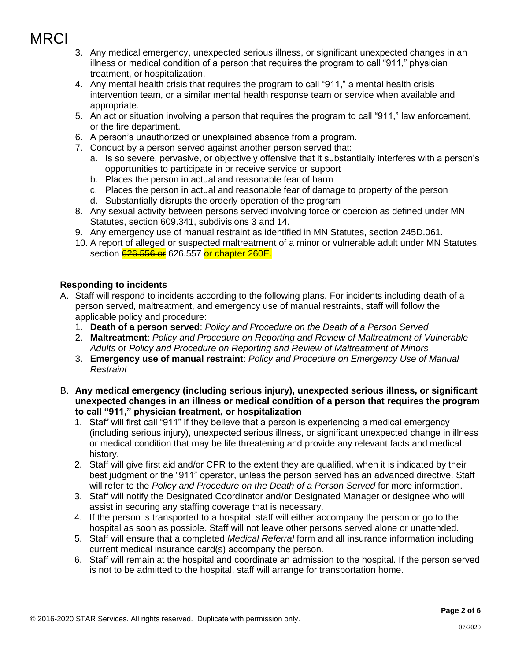- 3. Any medical emergency, unexpected serious illness, or significant unexpected changes in an illness or medical condition of a person that requires the program to call "911," physician treatment, or hospitalization.
- 4. Any mental health crisis that requires the program to call "911," a mental health crisis intervention team, or a similar mental health response team or service when available and appropriate.
- 5. An act or situation involving a person that requires the program to call "911," law enforcement, or the fire department.
- 6. A person's unauthorized or unexplained absence from a program.
- 7. Conduct by a person served against another person served that:
	- a. Is so severe, pervasive, or objectively offensive that it substantially interferes with a person's opportunities to participate in or receive service or support
	- b. Places the person in actual and reasonable fear of harm
	- c. Places the person in actual and reasonable fear of damage to property of the person
	- d. Substantially disrupts the orderly operation of the program
- 8. Any sexual activity between persons served involving force or coercion as defined under MN Statutes, section 609.341, subdivisions 3 and 14.
- 9. Any emergency use of manual restraint as identified in MN Statutes, section 245D.061.
- 10. A report of alleged or suspected maltreatment of a minor or vulnerable adult under MN Statutes, section 626.556 or 626.557 or chapter 260E.

### **Responding to incidents**

- A. Staff will respond to incidents according to the following plans. For incidents including death of a person served, maltreatment, and emergency use of manual restraints, staff will follow the applicable policy and procedure:
	- 1. **Death of a person served**: *Policy and Procedure on the Death of a Person Served*
	- 2. **Maltreatment**: *Policy and Procedure on Reporting and Review of Maltreatment of Vulnerable Adults* or *Policy and Procedure on Reporting and Review of Maltreatment of Minors*
	- 3. **Emergency use of manual restraint**: *Policy and Procedure on Emergency Use of Manual Restraint*
- B. **Any medical emergency (including serious injury), unexpected serious illness, or significant unexpected changes in an illness or medical condition of a person that requires the program to call "911," physician treatment, or hospitalization**
	- 1. Staff will first call "911" if they believe that a person is experiencing a medical emergency (including serious injury), unexpected serious illness, or significant unexpected change in illness or medical condition that may be life threatening and provide any relevant facts and medical history.
	- 2. Staff will give first aid and/or CPR to the extent they are qualified, when it is indicated by their best judgment or the "911" operator, unless the person served has an advanced directive. Staff will refer to the *Policy and Procedure on the Death of a Person Served* for more information.
	- 3. Staff will notify the Designated Coordinator and/or Designated Manager or designee who will assist in securing any staffing coverage that is necessary.
	- 4. If the person is transported to a hospital, staff will either accompany the person or go to the hospital as soon as possible. Staff will not leave other persons served alone or unattended.
	- 5. Staff will ensure that a completed *Medical Referral* form and all insurance information including current medical insurance card(s) accompany the person.
	- 6. Staff will remain at the hospital and coordinate an admission to the hospital. If the person served is not to be admitted to the hospital, staff will arrange for transportation home.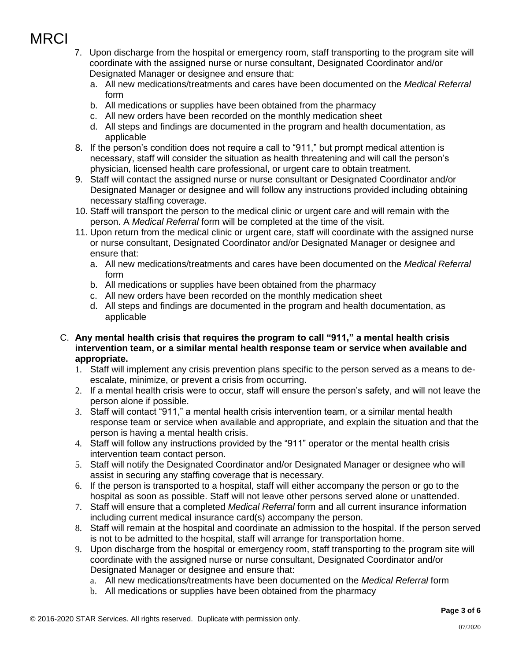- 7. Upon discharge from the hospital or emergency room, staff transporting to the program site will coordinate with the assigned nurse or nurse consultant, Designated Coordinator and/or Designated Manager or designee and ensure that:
	- a. All new medications/treatments and cares have been documented on the *Medical Referral*  form
	- b. All medications or supplies have been obtained from the pharmacy
	- c. All new orders have been recorded on the monthly medication sheet
	- d. All steps and findings are documented in the program and health documentation, as applicable
- 8. If the person's condition does not require a call to "911," but prompt medical attention is necessary, staff will consider the situation as health threatening and will call the person's physician, licensed health care professional, or urgent care to obtain treatment.
- 9. Staff will contact the assigned nurse or nurse consultant or Designated Coordinator and/or Designated Manager or designee and will follow any instructions provided including obtaining necessary staffing coverage.
- 10. Staff will transport the person to the medical clinic or urgent care and will remain with the person. A *Medical Referral* form will be completed at the time of the visit.
- 11. Upon return from the medical clinic or urgent care, staff will coordinate with the assigned nurse or nurse consultant, Designated Coordinator and/or Designated Manager or designee and ensure that:
	- a. All new medications/treatments and cares have been documented on the *Medical Referral*  form
	- b. All medications or supplies have been obtained from the pharmacy
	- c. All new orders have been recorded on the monthly medication sheet
	- d. All steps and findings are documented in the program and health documentation, as applicable
- C. **Any mental health crisis that requires the program to call "911," a mental health crisis intervention team, or a similar mental health response team or service when available and appropriate.**
	- 1. Staff will implement any crisis prevention plans specific to the person served as a means to deescalate, minimize, or prevent a crisis from occurring.
	- 2. If a mental health crisis were to occur, staff will ensure the person's safety, and will not leave the person alone if possible.
	- 3. Staff will contact "911," a mental health crisis intervention team, or a similar mental health response team or service when available and appropriate, and explain the situation and that the person is having a mental health crisis.
	- 4. Staff will follow any instructions provided by the "911" operator or the mental health crisis intervention team contact person.
	- 5. Staff will notify the Designated Coordinator and/or Designated Manager or designee who will assist in securing any staffing coverage that is necessary.
	- 6. If the person is transported to a hospital, staff will either accompany the person or go to the hospital as soon as possible. Staff will not leave other persons served alone or unattended.
	- 7. Staff will ensure that a completed *Medical Referral* form and all current insurance information including current medical insurance card(s) accompany the person.
	- 8. Staff will remain at the hospital and coordinate an admission to the hospital. If the person served is not to be admitted to the hospital, staff will arrange for transportation home.
	- 9. Upon discharge from the hospital or emergency room, staff transporting to the program site will coordinate with the assigned nurse or nurse consultant, Designated Coordinator and/or Designated Manager or designee and ensure that:
		- a. All new medications/treatments have been documented on the *Medical Referral* form
		- b. All medications or supplies have been obtained from the pharmacy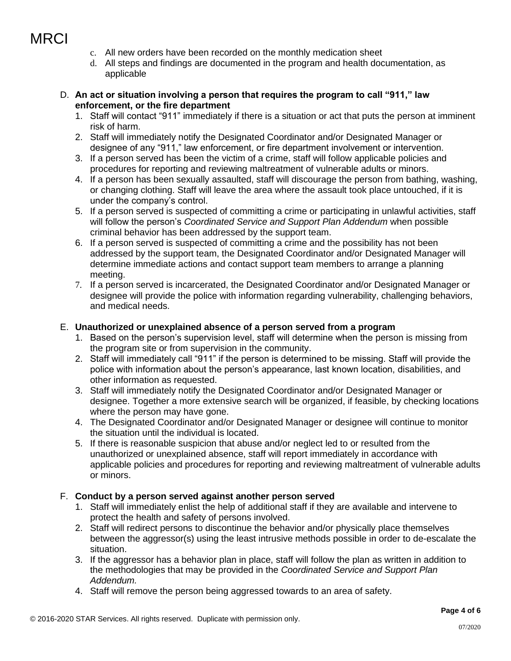- c. All new orders have been recorded on the monthly medication sheet
- d. All steps and findings are documented in the program and health documentation, as applicable
- D. **An act or situation involving a person that requires the program to call "911," law enforcement, or the fire department**
	- 1. Staff will contact "911" immediately if there is a situation or act that puts the person at imminent risk of harm.
	- 2. Staff will immediately notify the Designated Coordinator and/or Designated Manager or designee of any "911," law enforcement, or fire department involvement or intervention.
	- 3. If a person served has been the victim of a crime, staff will follow applicable policies and procedures for reporting and reviewing maltreatment of vulnerable adults or minors.
	- 4. If a person has been sexually assaulted, staff will discourage the person from bathing, washing, or changing clothing. Staff will leave the area where the assault took place untouched, if it is under the company's control.
	- 5. If a person served is suspected of committing a crime or participating in unlawful activities, staff will follow the person's *Coordinated Service and Support Plan Addendum* when possible criminal behavior has been addressed by the support team.
	- 6. If a person served is suspected of committing a crime and the possibility has not been addressed by the support team, the Designated Coordinator and/or Designated Manager will determine immediate actions and contact support team members to arrange a planning meeting.
	- 7. If a person served is incarcerated, the Designated Coordinator and/or Designated Manager or designee will provide the police with information regarding vulnerability, challenging behaviors, and medical needs.

### E. **Unauthorized or unexplained absence of a person served from a program**

- 1. Based on the person's supervision level, staff will determine when the person is missing from the program site or from supervision in the community.
- 2. Staff will immediately call "911" if the person is determined to be missing. Staff will provide the police with information about the person's appearance, last known location, disabilities, and other information as requested.
- 3. Staff will immediately notify the Designated Coordinator and/or Designated Manager or designee. Together a more extensive search will be organized, if feasible, by checking locations where the person may have gone.
- 4. The Designated Coordinator and/or Designated Manager or designee will continue to monitor the situation until the individual is located.
- 5. If there is reasonable suspicion that abuse and/or neglect led to or resulted from the unauthorized or unexplained absence, staff will report immediately in accordance with applicable policies and procedures for reporting and reviewing maltreatment of vulnerable adults or minors.

### F. **Conduct by a person served against another person served**

- 1. Staff will immediately enlist the help of additional staff if they are available and intervene to protect the health and safety of persons involved.
- 2. Staff will redirect persons to discontinue the behavior and/or physically place themselves between the aggressor(s) using the least intrusive methods possible in order to de-escalate the situation.
- 3. If the aggressor has a behavior plan in place, staff will follow the plan as written in addition to the methodologies that may be provided in the *Coordinated Service and Support Plan Addendum.*
- 4. Staff will remove the person being aggressed towards to an area of safety.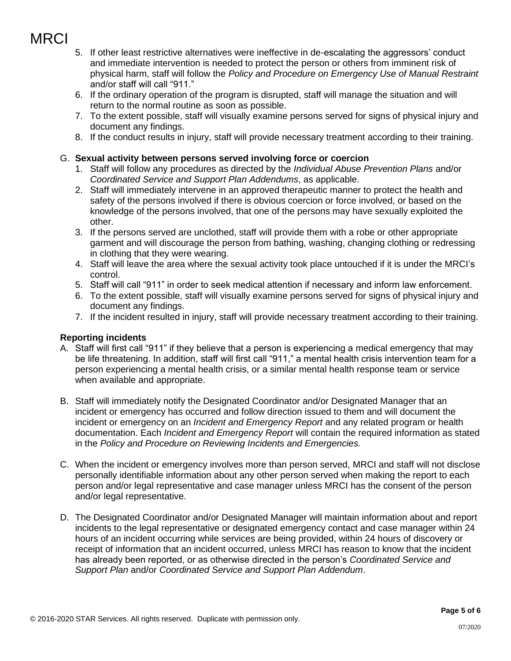- 5. If other least restrictive alternatives were ineffective in de-escalating the aggressors' conduct and immediate intervention is needed to protect the person or others from imminent risk of physical harm, staff will follow the *Policy and Procedure on Emergency Use of Manual Restraint*  and/or staff will call "911."
- 6. If the ordinary operation of the program is disrupted, staff will manage the situation and will return to the normal routine as soon as possible.
- 7. To the extent possible, staff will visually examine persons served for signs of physical injury and document any findings.
- 8. If the conduct results in injury, staff will provide necessary treatment according to their training.

### G. **Sexual activity between persons served involving force or coercion**

- 1. Staff will follow any procedures as directed by the *Individual Abuse Prevention Plans* and/or *Coordinated Service and Support Plan Addendums*, as applicable.
- 2. Staff will immediately intervene in an approved therapeutic manner to protect the health and safety of the persons involved if there is obvious coercion or force involved, or based on the knowledge of the persons involved, that one of the persons may have sexually exploited the other.
- 3. If the persons served are unclothed, staff will provide them with a robe or other appropriate garment and will discourage the person from bathing, washing, changing clothing or redressing in clothing that they were wearing.
- 4. Staff will leave the area where the sexual activity took place untouched if it is under the MRCI's control.
- 5. Staff will call "911" in order to seek medical attention if necessary and inform law enforcement.
- 6. To the extent possible, staff will visually examine persons served for signs of physical injury and document any findings.
- 7. If the incident resulted in injury, staff will provide necessary treatment according to their training.

### **Reporting incidents**

- A. Staff will first call "911" if they believe that a person is experiencing a medical emergency that may be life threatening. In addition, staff will first call "911," a mental health crisis intervention team for a person experiencing a mental health crisis, or a similar mental health response team or service when available and appropriate.
- B. Staff will immediately notify the Designated Coordinator and/or Designated Manager that an incident or emergency has occurred and follow direction issued to them and will document the incident or emergency on an *Incident and Emergency Report* and any related program or health documentation. Each *Incident and Emergency Report* will contain the required information as stated in the *Policy and Procedure on Reviewing Incidents and Emergencies.*
- C. When the incident or emergency involves more than person served, MRCI and staff will not disclose personally identifiable information about any other person served when making the report to each person and/or legal representative and case manager unless MRCI has the consent of the person and/or legal representative.
- D. The Designated Coordinator and/or Designated Manager will maintain information about and report incidents to the legal representative or designated emergency contact and case manager within 24 hours of an incident occurring while services are being provided, within 24 hours of discovery or receipt of information that an incident occurred, unless MRCI has reason to know that the incident has already been reported, or as otherwise directed in the person's *Coordinated Service and Support Plan* and/or *Coordinated Service and Support Plan Addendum*.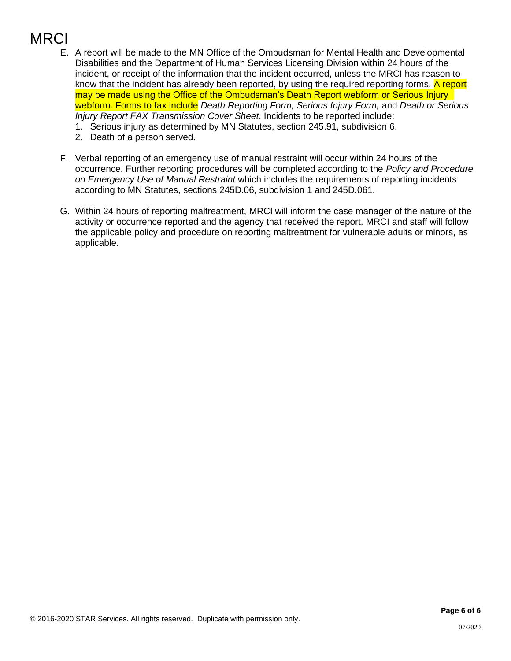- E. A report will be made to the MN Office of the Ombudsman for Mental Health and Developmental Disabilities and the Department of Human Services Licensing Division within 24 hours of the incident, or receipt of the information that the incident occurred, unless the MRCI has reason to know that the incident has already been reported, by using the required reporting forms. A report may be made using the Office of the Ombudsman's Death Report webform or Serious Injury webform. Forms to fax include *Death Reporting Form, Serious Injury Form,* and *Death or Serious Injury Report FAX Transmission Cover Sheet*. Incidents to be reported include:
	- 1. Serious injury as determined by MN Statutes, section 245.91, subdivision 6.
	- 2. Death of a person served.
- F. Verbal reporting of an emergency use of manual restraint will occur within 24 hours of the occurrence. Further reporting procedures will be completed according to the *Policy and Procedure on Emergency Use of Manual Restraint* which includes the requirements of reporting incidents according to MN Statutes, sections 245D.06, subdivision 1 and 245D.061.
- G. Within 24 hours of reporting maltreatment, MRCI will inform the case manager of the nature of the activity or occurrence reported and the agency that received the report. MRCI and staff will follow the applicable policy and procedure on reporting maltreatment for vulnerable adults or minors, as applicable.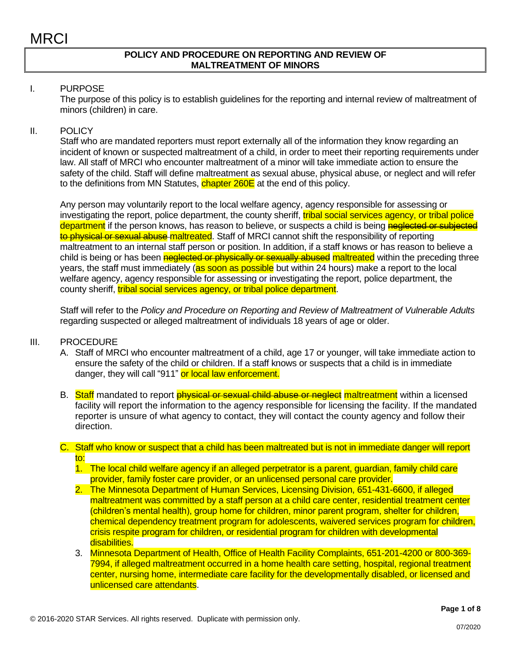#### **POLICY AND PROCEDURE ON REPORTING AND REVIEW OF MALTREATMENT OF MINORS**

#### I. PURPOSE

The purpose of this policy is to establish guidelines for the reporting and internal review of maltreatment of minors (children) in care.

#### II. POLICY

Staff who are mandated reporters must report externally all of the information they know regarding an incident of known or suspected maltreatment of a child, in order to meet their reporting requirements under law. All staff of MRCI who encounter maltreatment of a minor will take immediate action to ensure the safety of the child. Staff will define maltreatment as sexual abuse, physical abuse, or neglect and will refer to the definitions from MN Statutes, chapter 260E at the end of this policy.

Any person may voluntarily report to the local welfare agency, agency responsible for assessing or investigating the report, police department, the county sheriff, tribal social services agency, or tribal police department if the person knows, has reason to believe, or suspects a child is being neglected or subjected to physical or sexual abuse maltreated. Staff of MRCI cannot shift the responsibility of reporting maltreatment to an internal staff person or position. In addition, if a staff knows or has reason to believe a child is being or has been **neglected or physically or sexually abused** maltreated within the preceding three years, the staff must immediately (as soon as possible but within 24 hours) make a report to the local welfare agency, agency responsible for assessing or investigating the report, police department, the county sheriff, *tribal social services agency*, or tribal police department.

Staff will refer to the *Policy and Procedure on Reporting and Review of Maltreatment of Vulnerable Adults*  regarding suspected or alleged maltreatment of individuals 18 years of age or older.

- III. PROCEDURE
	- A. Staff of MRCI who encounter maltreatment of a child, age 17 or younger, will take immediate action to ensure the safety of the child or children. If a staff knows or suspects that a child is in immediate danger, they will call "911" or local law enforcement.
	- B. Staff mandated to report **physical or sexual child abuse or neglect maltreatment** within a licensed facility will report the information to the agency responsible for licensing the facility. If the mandated reporter is unsure of what agency to contact, they will contact the county agency and follow their direction.
	- C. Staff who know or suspect that a child has been maltreated but is not in immediate danger will report to:
		- 1. The local child welfare agency if an alleged perpetrator is a parent, guardian, family child care provider, family foster care provider, or an unlicensed personal care provider.
		- 2. The Minnesota Department of Human Services, Licensing Division, 651-431-6600, if alleged maltreatment was committed by a staff person at a child care center, residential treatment center (children's mental health), group home for children, minor parent program, shelter for children, chemical dependency treatment program for adolescents, waivered services program for children, crisis respite program for children, or residential program for children with developmental disabilities.
		- 3. Minnesota Department of Health, Office of Health Facility Complaints, 651-201-4200 or 800-369- 7994, if alleged maltreatment occurred in a home health care setting, hospital, regional treatment center, nursing home, intermediate care facility for the developmentally disabled, or licensed and unlicensed care attendants.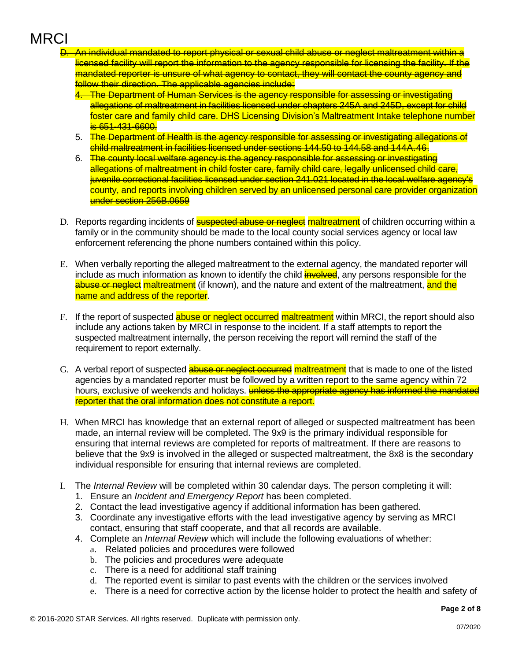- D. An individual mandated to report physical or sexual child abuse or neglect maltreatment within a licensed facility will report the information to the agency responsible for licensing the facility. If the mandated reporter is unsure of what agency to contact, they will contact the county agency and follow their direction. The applicable agencies include:
	- 4. The Department of Human Services is the agency responsible for assessing or investigating allegations of maltreatment in facilities licensed under chapters 245A and 245D, except for child foster care and family child care. DHS Licensing Division's Maltreatment Intake telephone number is 651-431-6600.
	- 5. The Department of Health is the agency responsible for assessing or investigating allegations of child maltreatment in facilities licensed under sections 144.50 to 144.58 and [144A.46.](https://www.revisor.mn.gov/statutes?id=144A.46#stat.144A.46)
	- 6. The county local welfare agency is the agency responsible for assessing or investigating allegations of maltreatment in child foster care, family child care, legally unlicensed child care, juvenile correctional facilities licensed under section 241.021 located in the local welfare agency's county, and reports involving children served by an unlicensed personal care provider organization under section [256B.0659](https://www.revisor.mn.gov/statutes?id=256B.0659#stat.256B.0659)
- D. Reports regarding incidents of **suspected abuse or neglect maltreatment** of children occurring within a family or in the community should be made to the local county social services agency or local law enforcement referencing the phone numbers contained within this policy.
- E. When verbally reporting the alleged maltreatment to the external agency, the mandated reporter will include as much information as known to identify the child **involved**, any persons responsible for the abuse or neglect maltreatment (if known), and the nature and extent of the maltreatment, and the name and address of the reporter.
- F. If the report of suspected **abuse or neglect occurred maltreatment** within MRCI, the report should also include any actions taken by MRCI in response to the incident. If a staff attempts to report the suspected maltreatment internally, the person receiving the report will remind the staff of the requirement to report externally.
- G. A verbal report of suspected **abuse or neglect occurred maltreatment** that is made to one of the listed agencies by a mandated reporter must be followed by a written report to the same agency within 72 hours, exclusive of weekends and holidays. **unless the appropriate agency has informed the mandated** reporter that the oral information does not constitute a report.
- H. When MRCI has knowledge that an external report of alleged or suspected maltreatment has been made, an internal review will be completed. The 9x9 is the primary individual responsible for ensuring that internal reviews are completed for reports of maltreatment. If there are reasons to believe that the 9x9 is involved in the alleged or suspected maltreatment, the 8x8 is the secondary individual responsible for ensuring that internal reviews are completed.
- I. The *Internal Review* will be completed within 30 calendar days. The person completing it will:
	- 1. Ensure an *Incident and Emergency Report* has been completed.
	- 2. Contact the lead investigative agency if additional information has been gathered.
	- 3. Coordinate any investigative efforts with the lead investigative agency by serving as MRCI contact, ensuring that staff cooperate, and that all records are available.
	- 4. Complete an *Internal Review* which will include the following evaluations of whether:
		- a. Related policies and procedures were followed
		- b. The policies and procedures were adequate
		- c. There is a need for additional staff training
		- d. The reported event is similar to past events with the children or the services involved
		- e. There is a need for corrective action by the license holder to protect the health and safety of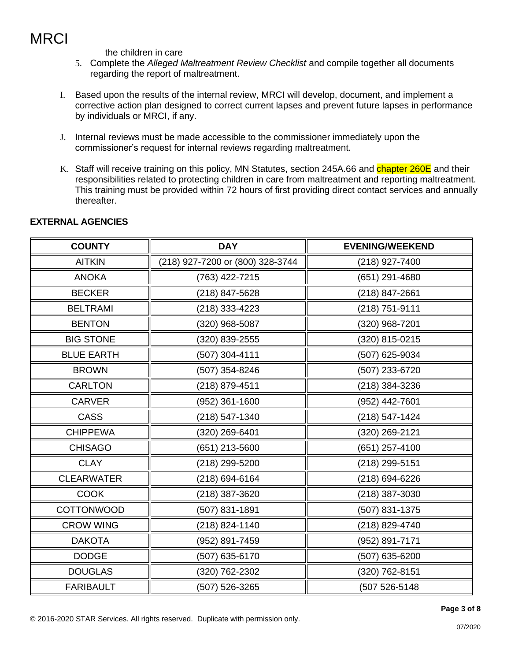

the children in care

- 5. Complete the *Alleged Maltreatment Review Checklist* and compile together all documents regarding the report of maltreatment.
- I. Based upon the results of the internal review, MRCI will develop, document, and implement a corrective action plan designed to correct current lapses and prevent future lapses in performance by individuals or MRCI, if any.
- J. Internal reviews must be made accessible to the commissioner immediately upon the commissioner's request for internal reviews regarding maltreatment.
- K. Staff will receive training on this policy, MN Statutes, section 245A.66 and chapter 260E and their responsibilities related to protecting children in care from maltreatment and reporting maltreatment. This training must be provided within 72 hours of first providing direct contact services and annually thereafter.

| <b>COUNTY</b>     | <b>DAY</b>                       | <b>EVENING/WEEKEND</b> |
|-------------------|----------------------------------|------------------------|
| <b>AITKIN</b>     | (218) 927-7200 or (800) 328-3744 | (218) 927-7400         |
| <b>ANOKA</b>      | (763) 422-7215                   | (651) 291-4680         |
| <b>BECKER</b>     | (218) 847-5628                   | (218) 847-2661         |
| <b>BELTRAMI</b>   | (218) 333-4223                   | (218) 751-9111         |
| <b>BENTON</b>     | (320) 968-5087                   | (320) 968-7201         |
| <b>BIG STONE</b>  | (320) 839-2555                   | (320) 815-0215         |
| <b>BLUE EARTH</b> | (507) 304-4111                   | (507) 625-9034         |
| <b>BROWN</b>      | (507) 354-8246                   | (507) 233-6720         |
| <b>CARLTON</b>    | (218) 879-4511                   | (218) 384-3236         |
| <b>CARVER</b>     | (952) 361-1600                   | (952) 442-7601         |
| <b>CASS</b>       | (218) 547-1340                   | (218) 547-1424         |
| <b>CHIPPEWA</b>   | (320) 269-6401                   | (320) 269-2121         |
| <b>CHISAGO</b>    | (651) 213-5600                   | (651) 257-4100         |
| <b>CLAY</b>       | (218) 299-5200                   | (218) 299-5151         |
| <b>CLEARWATER</b> | (218) 694-6164                   | (218) 694-6226         |
| <b>COOK</b>       | (218) 387-3620                   | (218) 387-3030         |
| <b>COTTONWOOD</b> | (507) 831-1891                   | (507) 831-1375         |
| <b>CROW WING</b>  | (218) 824-1140                   | (218) 829-4740         |
| <b>DAKOTA</b>     | (952) 891-7459                   | (952) 891-7171         |
| <b>DODGE</b>      | (507) 635-6170                   | (507) 635-6200         |
| <b>DOUGLAS</b>    | (320) 762-2302                   | (320) 762-8151         |
| <b>FARIBAULT</b>  | (507) 526-3265                   | (507 526-5148          |

#### **EXTERNAL AGENCIES**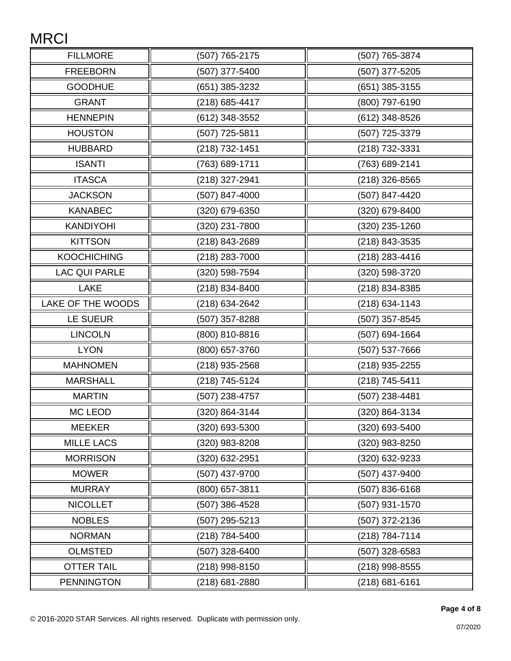| <b>FILLMORE</b>      | (507) 765-2175 | (507) 765-3874     |
|----------------------|----------------|--------------------|
| <b>FREEBORN</b>      | (507) 377-5400 | (507) 377-5205     |
| <b>GOODHUE</b>       | (651) 385-3232 | (651) 385-3155     |
| <b>GRANT</b>         | (218) 685-4417 | (800) 797-6190     |
| <b>HENNEPIN</b>      | (612) 348-3552 | (612) 348-8526     |
| <b>HOUSTON</b>       | (507) 725-5811 | (507) 725-3379     |
| <b>HUBBARD</b>       | (218) 732-1451 | (218) 732-3331     |
| <b>ISANTI</b>        | (763) 689-1711 | (763) 689-2141     |
| <b>ITASCA</b>        | (218) 327-2941 | (218) 326-8565     |
| <b>JACKSON</b>       | (507) 847-4000 | (507) 847-4420     |
| <b>KANABEC</b>       | (320) 679-6350 | (320) 679-8400     |
| <b>KANDIYOHI</b>     | (320) 231-7800 | (320) 235-1260     |
| <b>KITTSON</b>       | (218) 843-2689 | (218) 843-3535     |
| <b>KOOCHICHING</b>   | (218) 283-7000 | (218) 283-4416     |
| <b>LAC QUI PARLE</b> | (320) 598-7594 | (320) 598-3720     |
| <b>LAKE</b>          | (218) 834-8400 | (218) 834-8385     |
| LAKE OF THE WOODS    | (218) 634-2642 | (218) 634-1143     |
| LE SUEUR             | (507) 357-8288 | (507) 357-8545     |
| <b>LINCOLN</b>       | (800) 810-8816 | (507) 694-1664     |
| <b>LYON</b>          | (800) 657-3760 | (507) 537-7666     |
| <b>MAHNOMEN</b>      | (218) 935-2568 | (218) 935-2255     |
| <b>MARSHALL</b>      | (218) 745-5124 | (218) 745-5411     |
| <b>MARTIN</b>        | (507) 238-4757 | (507) 238-4481     |
| <b>MC LEOD</b>       | (320) 864-3144 | (320) 864-3134     |
| <b>MEEKER</b>        | (320) 693-5300 | (320) 693-5400     |
| <b>MILLE LACS</b>    | (320) 983-8208 | (320) 983-8250     |
| <b>MORRISON</b>      | (320) 632-2951 | (320) 632-9233     |
| <b>MOWER</b>         | (507) 437-9700 | (507) 437-9400     |
| <b>MURRAY</b>        | (800) 657-3811 | (507) 836-6168     |
| <b>NICOLLET</b>      | (507) 386-4528 | (507) 931-1570     |
| <b>NOBLES</b>        | (507) 295-5213 | (507) 372-2136     |
| <b>NORMAN</b>        | (218) 784-5400 | (218) 784-7114     |
| <b>OLMSTED</b>       | (507) 328-6400 | (507) 328-6583     |
| <b>OTTER TAIL</b>    | (218) 998-8150 | (218) 998-8555     |
| <b>PENNINGTON</b>    | (218) 681-2880 | $(218) 681 - 6161$ |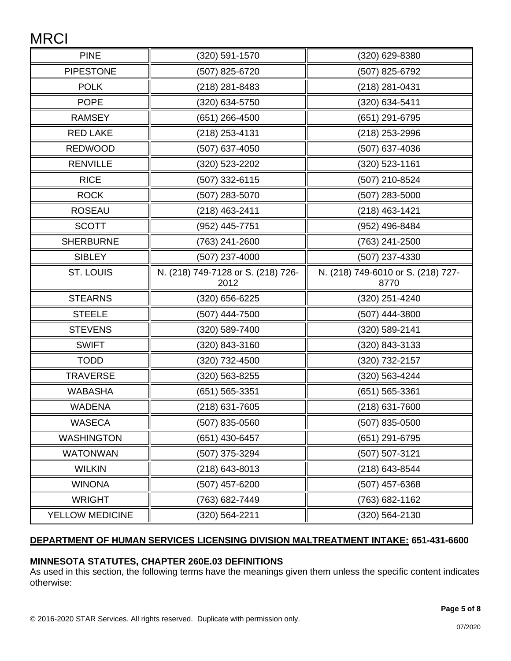| <b>PINE</b>       | (320) 591-1570                             | (320) 629-8380                             |
|-------------------|--------------------------------------------|--------------------------------------------|
| <b>PIPESTONE</b>  | (507) 825-6720                             | (507) 825-6792                             |
| <b>POLK</b>       | (218) 281-8483                             | (218) 281-0431                             |
| <b>POPE</b>       | (320) 634-5750                             | (320) 634-5411                             |
| <b>RAMSEY</b>     | (651) 266-4500                             | (651) 291-6795                             |
| <b>RED LAKE</b>   | (218) 253-4131                             | (218) 253-2996                             |
| <b>REDWOOD</b>    | (507) 637-4050                             | (507) 637-4036                             |
| <b>RENVILLE</b>   | (320) 523-2202                             | (320) 523-1161                             |
| <b>RICE</b>       | (507) 332-6115                             | (507) 210-8524                             |
| <b>ROCK</b>       | (507) 283-5070                             | (507) 283-5000                             |
| <b>ROSEAU</b>     | (218) 463-2411                             | (218) 463-1421                             |
| <b>SCOTT</b>      | (952) 445-7751                             | (952) 496-8484                             |
| <b>SHERBURNE</b>  | (763) 241-2600                             | (763) 241-2500                             |
| <b>SIBLEY</b>     | (507) 237-4000                             | (507) 237-4330                             |
| <b>ST. LOUIS</b>  | N. (218) 749-7128 or S. (218) 726-<br>2012 | N. (218) 749-6010 or S. (218) 727-<br>8770 |
|                   |                                            |                                            |
| <b>STEARNS</b>    | (320) 656-6225                             | (320) 251-4240                             |
| <b>STEELE</b>     | (507) 444-7500                             | (507) 444-3800                             |
| <b>STEVENS</b>    | (320) 589-7400                             | (320) 589-2141                             |
| <b>SWIFT</b>      | (320) 843-3160                             | (320) 843-3133                             |
| <b>TODD</b>       | (320) 732-4500                             | (320) 732-2157                             |
| <b>TRAVERSE</b>   | (320) 563-8255                             | (320) 563-4244                             |
| <b>WABASHA</b>    | (651) 565-3351                             | (651) 565-3361                             |
| <b>WADENA</b>     | (218) 631-7605                             | (218) 631-7600                             |
| <b>WASECA</b>     | (507) 835-0560                             | (507) 835-0500                             |
| <b>WASHINGTON</b> | (651) 430-6457                             | (651) 291-6795                             |
| <b>WATONWAN</b>   | (507) 375-3294                             | (507) 507-3121                             |
| <b>WILKIN</b>     | (218) 643-8013                             | (218) 643-8544                             |
| <b>WINONA</b>     | (507) 457-6200                             | (507) 457-6368                             |
| <b>WRIGHT</b>     | (763) 682-7449                             | (763) 682-1162                             |
| YELLOW MEDICINE   | (320) 564-2211                             | (320) 564-2130                             |

### **DEPARTMENT OF HUMAN SERVICES LICENSING DIVISION MALTREATMENT INTAKE: 651-431-6600**

### **MINNESOTA STATUTES, CHAPTER 260E.03 DEFINITIONS**

As used in this section, the following terms have the meanings given them unless the specific content indicates otherwise: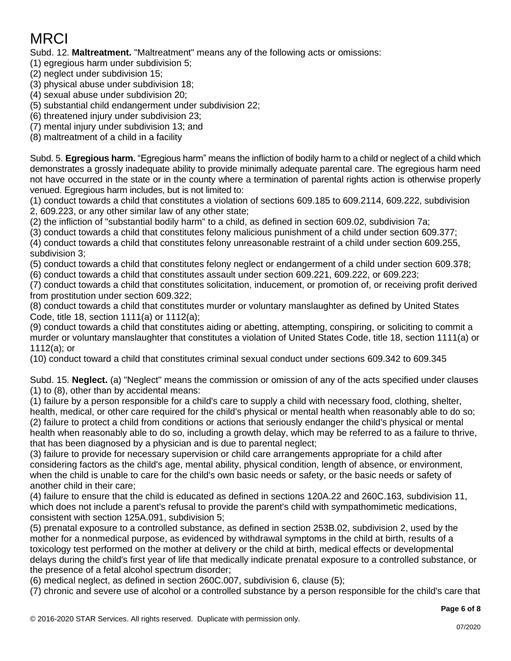Subd. 12. **Maltreatment.** "Maltreatment" means any of the following acts or omissions:

(1) egregious harm under subdivision 5;

- (2) neglect under subdivision 15;
- (3) physical abuse under subdivision 18;
- (4) sexual abuse under subdivision 20;
- (5) substantial child endangerment under subdivision 22;
- (6) threatened injury under subdivision 23;
- (7) mental injury under subdivision 13; and
- (8) maltreatment of a child in a facility

Subd. 5. **Egregious harm.** "Egregious harm" means the infliction of bodily harm to a child or neglect of a child which demonstrates a grossly inadequate ability to provide minimally adequate parental care. The egregious harm need not have occurred in the state or in the county where a termination of parental rights action is otherwise properly venued. Egregious harm includes, but is not limited to:

(1) conduct towards a child that constitutes a violation of sections [609.185](https://www.revisor.mn.gov/statutes/cite/609.185) to [609.2114,](https://www.revisor.mn.gov/statutes/cite/609.2114) [609.222, subdivision](https://www.revisor.mn.gov/statutes/cite/609.222#stat.609.222.2)  [2,](https://www.revisor.mn.gov/statutes/cite/609.222#stat.609.222.2) [609.223,](https://www.revisor.mn.gov/statutes/cite/609.223) or any other similar law of any other state;

(2) the infliction of "substantial bodily harm" to a child, as defined in section [609.02, subdivision 7a;](https://www.revisor.mn.gov/statutes/cite/609.02#stat.609.02.7a)

(3) conduct towards a child that constitutes felony malicious punishment of a child under section [609.377;](https://www.revisor.mn.gov/statutes/cite/609.377)

(4) conduct towards a child that constitutes felony unreasonable restraint of a child under section [609.255,](https://www.revisor.mn.gov/statutes/cite/609.255#stat.609.255.3)  [subdivision 3;](https://www.revisor.mn.gov/statutes/cite/609.255#stat.609.255.3)

(5) conduct towards a child that constitutes felony neglect or endangerment of a child under section [609.378;](https://www.revisor.mn.gov/statutes/cite/609.378)

(6) conduct towards a child that constitutes assault under section [609.221,](https://www.revisor.mn.gov/statutes/cite/609.221) [609.222,](https://www.revisor.mn.gov/statutes/cite/609.222) or [609.223;](https://www.revisor.mn.gov/statutes/cite/609.223)

(7) conduct towards a child that constitutes solicitation, inducement, or promotion of, or receiving profit derived from prostitution under section [609.322;](https://www.revisor.mn.gov/statutes/cite/609.322)

(8) conduct towards a child that constitutes murder or voluntary manslaughter as defined by United States Code, title 18, section 1111(a) or 1112(a);

(9) conduct towards a child that constitutes aiding or abetting, attempting, conspiring, or soliciting to commit a murder or voluntary manslaughter that constitutes a violation of United States Code, title 18, section 1111(a) or 1112(a); or

(10) conduct toward a child that constitutes criminal sexual conduct under sections [609.342](https://www.revisor.mn.gov/statutes/cite/609.342) to [609.345](https://www.revisor.mn.gov/statutes/cite/609.345)

Subd. 15. **Neglect.** (a) "Neglect" means the commission or omission of any of the acts specified under clauses (1) to (8), other than by accidental means:

(1) failure by a person responsible for a child's care to supply a child with necessary food, clothing, shelter, health, medical, or other care required for the child's physical or mental health when reasonably able to do so; (2) failure to protect a child from conditions or actions that seriously endanger the child's physical or mental health when reasonably able to do so, including a growth delay, which may be referred to as a failure to thrive, that has been diagnosed by a physician and is due to parental neglect;

(3) failure to provide for necessary supervision or child care arrangements appropriate for a child after considering factors as the child's age, mental ability, physical condition, length of absence, or environment, when the child is unable to care for the child's own basic needs or safety, or the basic needs or safety of another child in their care;

(4) failure to ensure that the child is educated as defined in sections 120A.22 and 260C.163, subdivision 11, which does not include a parent's refusal to provide the parent's child with sympathomimetic medications, consistent with section 125A.091, subdivision 5;

(5) prenatal exposure to a controlled substance, as defined in section 253B.02, subdivision 2, used by the mother for a nonmedical purpose, as evidenced by withdrawal symptoms in the child at birth, results of a toxicology test performed on the mother at delivery or the child at birth, medical effects or developmental delays during the child's first year of life that medically indicate prenatal exposure to a controlled substance, or the presence of a fetal alcohol spectrum disorder;

(6) medical neglect, as defined in section 260C.007, subdivision 6, clause (5);

(7) chronic and severe use of alcohol or a controlled substance by a person responsible for the child's care that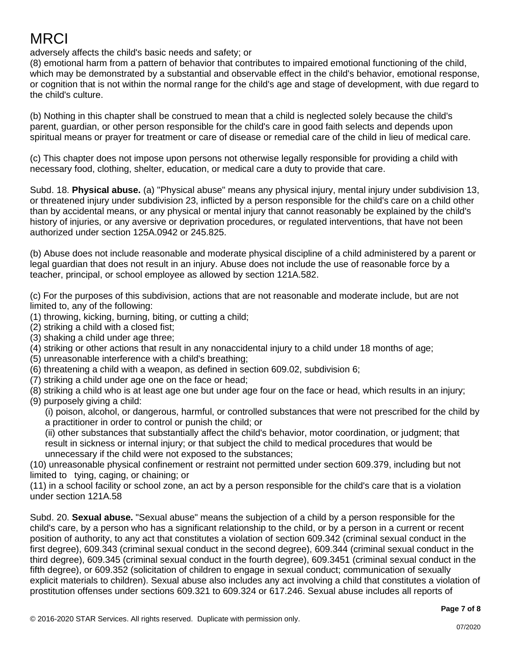adversely affects the child's basic needs and safety; or

(8) emotional harm from a pattern of behavior that contributes to impaired emotional functioning of the child, which may be demonstrated by a substantial and observable effect in the child's behavior, emotional response, or cognition that is not within the normal range for the child's age and stage of development, with due regard to the child's culture.

(b) Nothing in this chapter shall be construed to mean that a child is neglected solely because the child's parent, guardian, or other person responsible for the child's care in good faith selects and depends upon spiritual means or prayer for treatment or care of disease or remedial care of the child in lieu of medical care.

(c) This chapter does not impose upon persons not otherwise legally responsible for providing a child with necessary food, clothing, shelter, education, or medical care a duty to provide that care.

Subd. 18. **Physical abuse.** (a) "Physical abuse" means any physical injury, mental injury under subdivision 13, or threatened injury under subdivision 23, inflicted by a person responsible for the child's care on a child other than by accidental means, or any physical or mental injury that cannot reasonably be explained by the child's history of injuries, or any aversive or deprivation procedures, or regulated interventions, that have not been authorized under section 125A.0942 or 245.825.

(b) Abuse does not include reasonable and moderate physical discipline of a child administered by a parent or legal guardian that does not result in an injury. Abuse does not include the use of reasonable force by a teacher, principal, or school employee as allowed by section 121A.582.

(c) For the purposes of this subdivision, actions that are not reasonable and moderate include, but are not limited to, any of the following:

- (1) throwing, kicking, burning, biting, or cutting a child;
- (2) striking a child with a closed fist;
- (3) shaking a child under age three;
- (4) striking or other actions that result in any nonaccidental injury to a child under 18 months of age;
- (5) unreasonable interference with a child's breathing;
- (6) threatening a child with a weapon, as defined in section 609.02, subdivision 6;
- (7) striking a child under age one on the face or head;

(8) striking a child who is at least age one but under age four on the face or head, which results in an injury; (9) purposely giving a child:

(i) poison, alcohol, or dangerous, harmful, or controlled substances that were not prescribed for the child by a practitioner in order to control or punish the child; or

(ii) other substances that substantially affect the child's behavior, motor coordination, or judgment; that result in sickness or internal injury; or that subject the child to medical procedures that would be unnecessary if the child were not exposed to the substances;

(10) unreasonable physical confinement or restraint not permitted under section 609.379, including but not limited to tying, caging, or chaining; or

(11) in a school facility or school zone, an act by a person responsible for the child's care that is a violation under section 121A.58

Subd. 20. **Sexual abuse.** "Sexual abuse" means the subjection of a child by a person responsible for the child's care, by a person who has a significant relationship to the child, or by a person in a current or recent position of authority, to any act that constitutes a violation of section 609.342 (criminal sexual conduct in the first degree), 609.343 (criminal sexual conduct in the second degree), 609.344 (criminal sexual conduct in the third degree), 609.345 (criminal sexual conduct in the fourth degree), 609.3451 (criminal sexual conduct in the fifth degree), or 609.352 (solicitation of children to engage in sexual conduct; communication of sexually explicit materials to children). Sexual abuse also includes any act involving a child that constitutes a violation of prostitution offenses under sections 609.321 to 609.324 or 617.246. Sexual abuse includes all reports of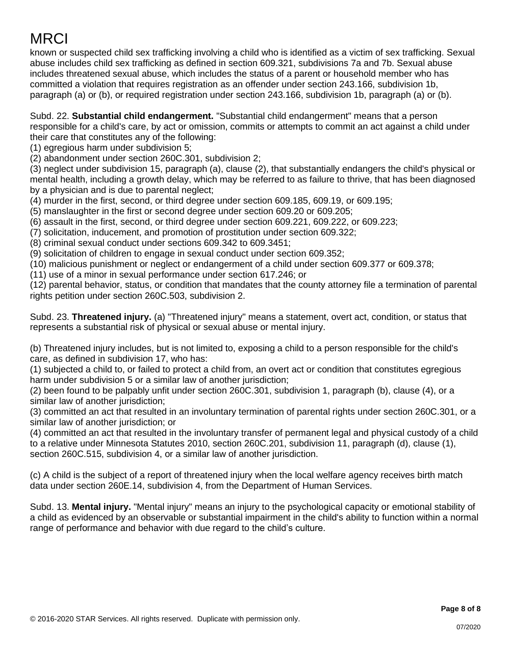known or suspected child sex trafficking involving a child who is identified as a victim of sex trafficking. Sexual abuse includes child sex trafficking as defined in section 609.321, subdivisions 7a and 7b. Sexual abuse includes threatened sexual abuse, which includes the status of a parent or household member who has committed a violation that requires registration as an offender under section 243.166, subdivision 1b, paragraph (a) or (b), or required registration under section 243.166, subdivision 1b, paragraph (a) or (b).

Subd. 22. **Substantial child endangerment.** "Substantial child endangerment" means that a person responsible for a child's care, by act or omission, commits or attempts to commit an act against a child under their care that constitutes any of the following:

(1) egregious harm under subdivision 5;

(2) abandonment under section 260C.301, subdivision 2;

(3) neglect under subdivision 15, paragraph (a), clause (2), that substantially endangers the child's physical or mental health, including a growth delay, which may be referred to as failure to thrive, that has been diagnosed by a physician and is due to parental neglect;

 $(4)$  murder in the first, second, or third degree under section 609.185, 609.19, or 609.195;

(5) manslaughter in the first or second degree under section 609.20 or 609.205;

(6) assault in the first, second, or third degree under section 609.221, 609.222, or 609.223;

(7) solicitation, inducement, and promotion of prostitution under section 609.322;

(8) criminal sexual conduct under sections 609.342 to 609.3451;

(9) solicitation of children to engage in sexual conduct under section 609.352;

(10) malicious punishment or neglect or endangerment of a child under section 609.377 or 609.378;

(11) use of a minor in sexual performance under section 617.246; or

(12) parental behavior, status, or condition that mandates that the county attorney file a termination of parental rights petition under section 260C.503, subdivision 2.

Subd. 23. **Threatened injury.** (a) "Threatened injury" means a statement, overt act, condition, or status that represents a substantial risk of physical or sexual abuse or mental injury.

(b) Threatened injury includes, but is not limited to, exposing a child to a person responsible for the child's care, as defined in subdivision 17, who has:

(1) subjected a child to, or failed to protect a child from, an overt act or condition that constitutes egregious harm under subdivision 5 or a similar law of another jurisdiction;

(2) been found to be palpably unfit under section 260C.301, subdivision 1, paragraph (b), clause (4), or a similar law of another jurisdiction:

(3) committed an act that resulted in an involuntary termination of parental rights under section 260C.301, or a similar law of another jurisdiction; or

(4) committed an act that resulted in the involuntary transfer of permanent legal and physical custody of a child to a relative under Minnesota Statutes 2010, section 260C.201, subdivision 11, paragraph (d), clause (1), section 260C.515, subdivision 4, or a similar law of another jurisdiction.

(c) A child is the subject of a report of threatened injury when the local welfare agency receives birth match data under section 260E.14, subdivision 4, from the Department of Human Services.

Subd. 13. **Mental injury.** "Mental injury" means an injury to the psychological capacity or emotional stability of a child as evidenced by an observable or substantial impairment in the child's ability to function within a normal range of performance and behavior with due regard to the child's culture.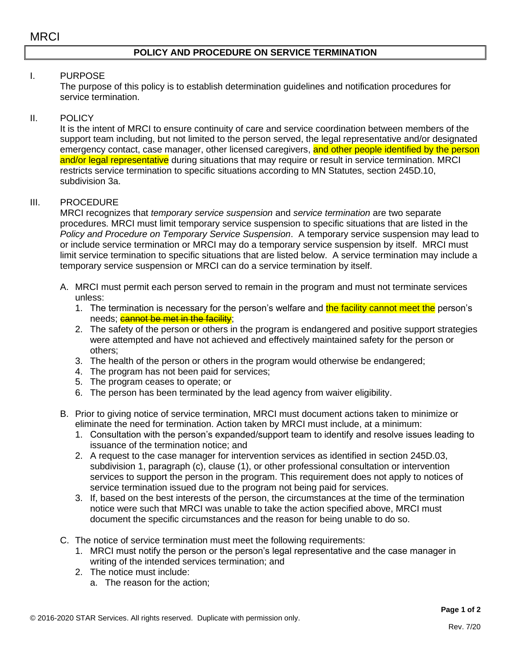### **POLICY AND PROCEDURE ON SERVICE TERMINATION**

#### I. PURPOSE

The purpose of this policy is to establish determination guidelines and notification procedures for service termination.

#### II. POLICY

It is the intent of MRCI to ensure continuity of care and service coordination between members of the support team including, but not limited to the person served, the legal representative and/or designated emergency contact, case manager, other licensed caregivers, and other people identified by the person and/or legal representative during situations that may require or result in service termination. MRCI restricts service termination to specific situations according to MN Statutes, section 245D.10, subdivision 3a.

#### III. PROCEDURE

MRCI recognizes that *temporary service suspension* and *service termination* are two separate procedures. MRCI must limit temporary service suspension to specific situations that are listed in the *Policy and Procedure on Temporary Service Suspension*. A temporary service suspension may lead to or include service termination or MRCI may do a temporary service suspension by itself. MRCI must limit service termination to specific situations that are listed below. A service termination may include a temporary service suspension or MRCI can do a service termination by itself.

- A. MRCI must permit each person served to remain in the program and must not terminate services unless:
	- 1. The termination is necessary for the person's welfare and the facility cannot meet the person's needs; **cannot be met in the facility**;
	- 2. The safety of the person or others in the program is endangered and positive support strategies were attempted and have not achieved and effectively maintained safety for the person or others;
	- 3. The health of the person or others in the program would otherwise be endangered;
	- 4. The program has not been paid for services;
	- 5. The program ceases to operate; or
	- 6. The person has been terminated by the lead agency from waiver eligibility.
- B. Prior to giving notice of service termination, MRCI must document actions taken to minimize or eliminate the need for termination. Action taken by MRCI must include, at a minimum:
	- 1. Consultation with the person's expanded/support team to identify and resolve issues leading to issuance of the termination notice; and
	- 2. A request to the case manager for intervention services as identified in section 245D.03, subdivision 1, paragraph (c), clause (1), or other professional consultation or intervention services to support the person in the program. This requirement does not apply to notices of service termination issued due to the program not being paid for services.
	- 3. If, based on the best interests of the person, the circumstances at the time of the termination notice were such that MRCI was unable to take the action specified above, MRCI must document the specific circumstances and the reason for being unable to do so.
- C. The notice of service termination must meet the following requirements:
	- 1. MRCI must notify the person or the person's legal representative and the case manager in writing of the intended services termination; and
	- 2. The notice must include:
		- a. The reason for the action;